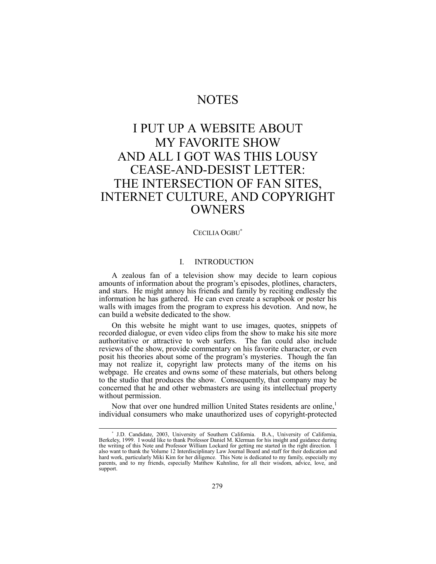## NOTES

# I PUT UP A WEBSITE ABOUT MY FAVORITE SHOW AND ALL I GOT WAS THIS LOUSY CEASE-AND-DESIST LETTER: THE INTERSECTION OF FAN SITES, INTERNET CULTURE, AND COPYRIGHT **OWNERS**

#### CECILIA OGBU<sup>∗</sup>

## I. INTRODUCTION

A zealous fan of a television show may decide to learn copious amounts of information about the program's episodes, plotlines, characters, and stars. He might annoy his friends and family by reciting endlessly the information he has gathered. He can even create a scrapbook or poster his walls with images from the program to express his devotion. And now, he can build a website dedicated to the show.

On this website he might want to use images, quotes, snippets of recorded dialogue, or even video clips from the show to make his site more authoritative or attractive to web surfers. The fan could also include reviews of the show, provide commentary on his favorite character, or even posit his theories about some of the program's mysteries. Though the fan may not realize it, copyright law protects many of the items on his webpage. He creates and owns some of these materials, but others belong to the studio that produces the show. Consequently, that company may be concerned that he and other webmasters are using its intellectual property without permission.

Now that over one hundred million United States residents are online,<sup>1</sup> individual consumers who make unauthorized uses of copyright-protected

<sup>∗</sup> J.D. Candidate, 2003, University of Southern California. B.A., University of California, Berkeley, 1999. I would like to thank Professor Daniel M. Klerman for his insight and guidance during the writing of this Note and Professor William Lockard for getting me started in the right direction. I also want to thank the Volume 12 Interdisciplinary Law Journal Board and staff for their dedication and hard work, particularly Miki Kim for her diligence. This Note is dedicated to my family, especially my parents, and to my friends, especially Matthew Kuhnline, for all their wisdom, advice, love, and support.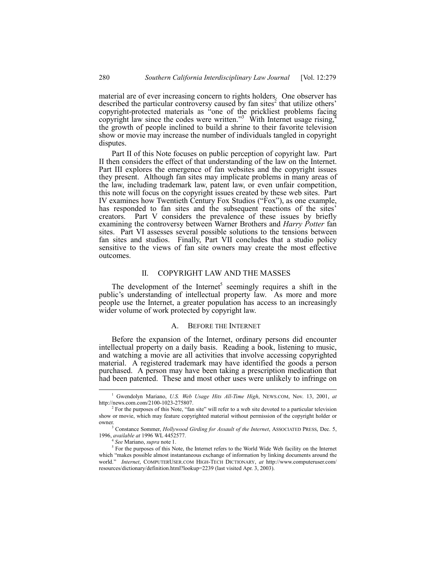material are of ever increasing concern to rights holders. One observer has described the particular controversy caused by fan sites $2$  that utilize others<sup>7</sup> copyright-protected materials as "one of the prickliest problems facing copyright law since the codes were written.<sup>33</sup> With Internet usage rising,<sup>4</sup> the growth of people inclined to build a shrine to their favorite television show or movie may increase the number of individuals tangled in copyright disputes.

Part II of this Note focuses on public perception of copyright law. Part II then considers the effect of that understanding of the law on the Internet. Part III explores the emergence of fan websites and the copyright issues they present. Although fan sites may implicate problems in many areas of the law, including trademark law, patent law, or even unfair competition, this note will focus on the copyright issues created by these web sites. Part IV examines how Twentieth Century Fox Studios  $("Fox")$ , as one example, has responded to fan sites and the subsequent reactions of the sites<sup>?</sup> creators. Part V considers the prevalence of these issues by briefly examining the controversy between Warner Brothers and *Harry Potter* fan sites. Part VI assesses several possible solutions to the tensions between fan sites and studios. Finally, Part VII concludes that a studio policy sensitive to the views of fan site owners may create the most effective outcomes.

## II. COPYRIGHT LAW AND THE MASSES

The development of the Internet<sup>5</sup> seemingly requires a shift in the public's understanding of intellectual property law. As more and more people use the Internet, a greater population has access to an increasingly wider volume of work protected by copyright law.

## A. BEFORE THE INTERNET

Before the expansion of the Internet, ordinary persons did encounter intellectual property on a daily basis. Reading a book, listening to music, and watching a movie are all activities that involve accessing copyrighted material. A registered trademark may have identified the goods a person purchased. A person may have been taking a prescription medication that had been patented. These and most other uses were unlikely to infringe on

 $\overline{\phantom{a}}$  Gwendolyn Mariano, *U.S. Web Usage Hits All-Time High*, NEWS.COM, Nov. 13, 2001, *at* http://news.com.com/2100-1023-275807.

 $2^2$  For the purposes of this Note, "fan site" will refer to a web site devoted to a particular television show or movie, which may feature copyrighted material without permission of the copyright holder or owner.

<sup>&</sup>lt;sup>3</sup> Constance Sommer, *Hollywood Girding for Assault of the Internet*, ASSOCIATED PRESS, Dec. 5, 1996, *available at* 1996 WL 4452577.

<sup>4</sup> *See* Mariano, *supra* note 1.

<sup>&</sup>lt;sup>5</sup> For the purposes of this Note, the Internet refers to the World Wide Web facility on the Internet which "makes possible almost instantaneous exchange of information by linking documents around the world.î *Internet*, COMPUTERUSER.COM HIGH-TECH DICTIONARY, *at* http://www.computeruser.com/ resources/dictionary/definition.html?lookup=2239 (last visited Apr. 3, 2003).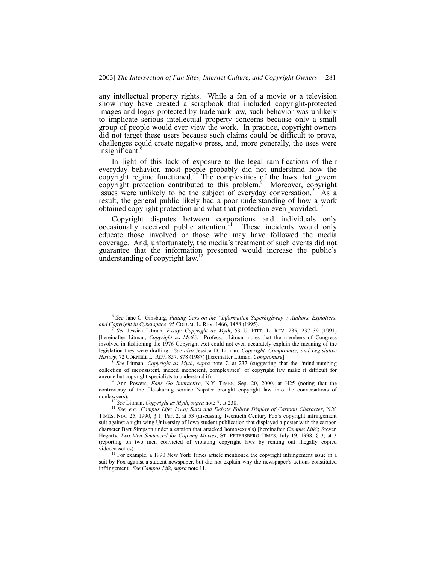any intellectual property rights. While a fan of a movie or a television show may have created a scrapbook that included copyright-protected images and logos protected by trademark law, such behavior was unlikely to implicate serious intellectual property concerns because only a small group of people would ever view the work. In practice, copyright owners did not target these users because such claims could be difficult to prove, challenges could create negative press, and, more generally, the uses were insignificant.<sup>6</sup>

In light of this lack of exposure to the legal ramifications of their everyday behavior, most people probably did not understand how the copyright regime functioned.<sup>7</sup> The complexities of the laws that govern copyright protection contributed to this problem.<sup>8</sup> Moreover, copyright issues were unlikely to be the subject of everyday conversation.<sup>91</sup> As a result, the general public likely had a poor understanding of how a work obtained copyright protection and what that protection even provided.<sup>10</sup>

Copyright disputes between corporations and individuals only assionally received public attention.<sup>11</sup> These incidents would only occasionally received public attention.<sup>11</sup> educate those involved or those who may have followed the media coverage. And, unfortunately, the media's treatment of such events did not guarantee that the information presented would increase the public's understanding of copyright law.<sup>12</sup>

<sup>&</sup>lt;sup>6</sup> See Jane C. Ginsburg, *Putting Cars on the "Information Superhighway": Authors, Exploiters, and Copyright in Cyberspace*, 95 COLUM. L. REV. 1466, 1488 (1995).

See Jessica Litman, *Essay: Copyright as Myth*, 53 U. PITT. L. REV. 235, 237-39 (1991) [hereinafter Litman, *Copyright as Myth*]. Professor Litman notes that the members of Congress involved in fashioning the 1976 Copyright Act could not even accurately explain the meaning of the legislation they were drafting. *See also* Jessica D. Litman, *Copyright, Compromise, and Legislative History*, 72 CORNELL L. REV. 857, 878 (1987) [hereinafter Litman, *Compromise*].

 $8$  *See* Litman, *Copyright as Myth, supra* note 7, at 237 (suggesting that the "mind-numbing") collection of inconsistent, indeed incoherent, complexities" of copyright law make it difficult for anyone but copyright specialists to understand it).

<sup>9</sup> Ann Powers, *Fans Go Interactive*, N.Y. TIMES, Sep. 20, 2000, at H25 (noting that the controversy of the file-sharing service Napster brought copyright law into the conversations of nonlawyers).

<sup>10</sup> *See* Litman, *Copyright as Myth*, *supra* note 7, at 238.

<sup>11</sup> *See, e.g.*, *Campus Life: Iowa; Suits and Debate Follow Display of Cartoon Character*, N.Y. TIMES, Nov. 25, 1990, § 1, Part 2, at 53 (discussing Twentieth Century Fox's copyright infringement suit against a right-wing University of Iowa student publication that displayed a poster with the cartoon character Bart Simpson under a caption that attacked homosexuals) [hereinafter *Campus Life*]; Steven Hegarty, *Two Men Sentenced for Copying Movies*, ST. PETERSBERG TIMES, July 19, 1998, ß 3, at 3 (reporting on two men convicted of violating copyright laws by renting out illegally copied videocassettes).

 $12$  For example, a 1990 New York Times article mentioned the copyright infringement issue in a suit by Fox against a student newspaper, but did not explain why the newspaper's actions constituted infringement. *See Campus Life*, *supra* note 11.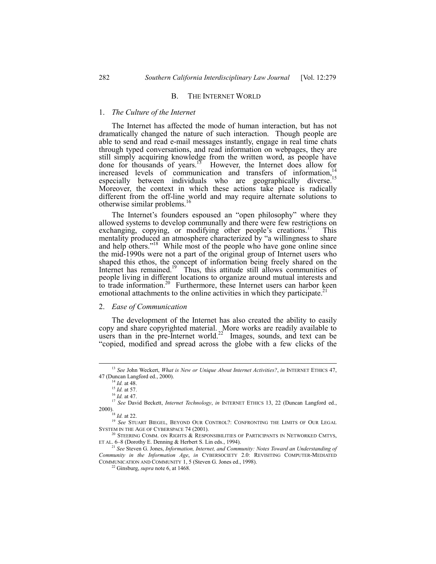#### B. THE INTERNET WORLD

#### 1. *The Culture of the Internet*

The Internet has affected the mode of human interaction, but has not dramatically changed the nature of such interaction. Though people are able to send and read e-mail messages instantly, engage in real time chats through typed conversations, and read information on webpages, they are still simply acquiring knowledge from the written word, as people have done for thousands of years.<sup>13</sup> However, the Internet does allow for increased levels of communication and transfers of information,<sup>14</sup> especially between individuals who are geographically diverse.<sup>15</sup> Moreover, the context in which these actions take place is radically different from the off-line world and may require alternate solutions to otherwise similar problems.<sup>1</sup>

The Internet's founders espoused an "open philosophy" where they allowed systems to develop communally and there were few restrictions on exchanging, copying, or modifying other people's creations.<sup>17</sup> This mentality produced an atmosphere characterized by "a willingness to share and help others.<sup> $18$ </sup> While most of the people who have gone online since the mid-1990s were not a part of the original group of Internet users who shaped this ethos, the concept of information being freely shared on the Internet has remained.<sup>19</sup> Thus, this attitude still allows communities of people living in different locations to organize around mutual interests and to trade information.<sup>20</sup> Furthermore, these Internet users can harbor keen emotional attachments to the online activities in which they participate.<sup>2</sup>

#### 2. *Ease of Communication*

The development of the Internet has also created the ability to easily copy and share copyrighted material. More works are readily available to users than in the pre-Internet world.<sup>22</sup> Images, sounds, and text can be ìcopied, modified and spread across the globe with a few clicks of the

 <sup>13</sup> *See* John Weckert, *What is New or Unique About Internet Activities?*, *in* INTERNET ETHICS 47, 47 (Duncan Langford ed., 2000).

<sup>14</sup> *Id.* at 48.

<sup>15</sup> *Id.* at 57.

<sup>16</sup> *Id.* at 47.

<sup>17</sup> *See* David Beckett, *Internet Technology*, *in* INTERNET ETHICS 13, 22 (Duncan Langford ed., 2000).<br><sup>18</sup> *Id.* at 22.

<sup>19</sup> *See* STUART BIEGEL, BEYOND OUR CONTROL?: CONFRONTING THE LIMITS OF OUR LEGAL SYSTEM IN THE AGE OF CYBERSPACE 74 (2001).

 $^{20}$  STEERING COMM. ON RIGHTS  $\&$  RESPONSIBILITIES OF PARTICIPANTS IN NETWORKED CMTYS, ET AL.  $6-8$  (Dorothy E. Denning & Herbert S. Lin eds., 1994).

<sup>21</sup> *See* Steven G. Jones, *Information, Internet, and Community: Notes Toward an Understanding of Community in the Information Age*, *in* CYBERSOCIETY 2.0: REVISITING COMPUTER-MEDIATED COMMUNICATION AND COMMUNITY 1, 5 (Steven G. Jones ed., 1998).

<sup>22</sup> Ginsburg, *supra* note 6, at 1468.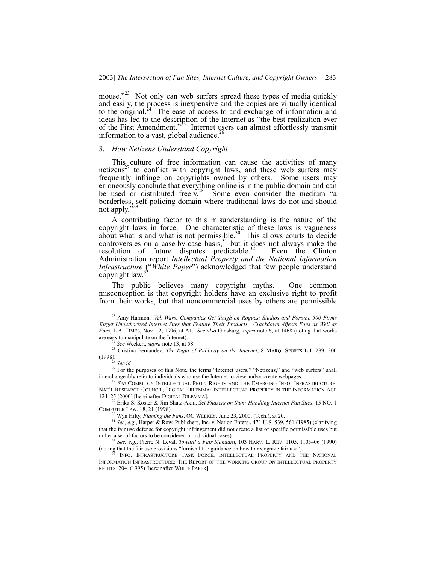mouse.<sup>223</sup> Not only can web surfers spread these types of media quickly and easily, the process is inexpensive and the copies are virtually identical to the original.<sup>24</sup> The ease of access to and exchange of information and ideas has led to the description of the Internet as "the best realization ever of the First Amendment.<sup>325</sup> Internet users can almost effortlessly transmit information to a vast, global audience.<sup>26</sup>

## 3. *How Netizens Understand Copyright*

This culture of free information can cause the activities of many netizens<sup>27</sup> to conflict with copyright laws, and these web surfers may frequently infringe on copyrights owned by others. Some users may erroneously conclude that everything online is in the public domain and can be used or distributed freely.<sup>28</sup> Some even consider the medium  $a$ borderless, self-policing domain where traditional laws do not and should not apply.<sup>7</sup>

A contributing factor to this misunderstanding is the nature of the copyright laws in force. One characteristic of these laws is vagueness about what is and what is not permissible.<sup>30</sup> This allows courts to decide controversies on a case-by-case basis, $31$  but it does not always make the resolution of future disputes predictable.<sup>32</sup> Even the Clinton Administration report *Intellectual Property and the National Information Infrastructure* ("*White Paper*") acknowledged that few people understand copyright law.<sup>33</sup>

The public believes many copyright myths. One common misconception is that copyright holders have an exclusive right to profit from their works, but that noncommercial uses by others are permissible

 <sup>23</sup> Amy Harmon, *Web Wars: Companies Get Tough on Rogues; Studios and Fortune 500 Firms Target Unauthorized Internet Sites that Feature Their Products. Crackdown Affects Fans as Well as Foes*, L.A. TIMES, Nov. 12, 1996, at A1. *See also* Ginsburg, *supra* note 6, at 1468 (noting that works are easy to manipulate on the Internet).

<sup>24</sup> *See* Weckert, *supra* note 13, at 58.

<sup>25</sup> Cristina Fernandez, *The Right of Publicity on the Internet*, 8 MARQ. SPORTS L.J. 289, 300 (1998).

<sup>26</sup> *See id.*

<sup>&</sup>lt;sup>27</sup> For the purposes of this Note, the terms "Internet users," "Netizens," and "web surfers" shall interchangeably refer to individuals who use the Internet to view and/or create webpages.

See COMM. ON INTELLECTUAL PROP. RIGHTS AND THE EMERGING INFO. INFRASTRUCTURE, NATíL RESEARCH COUNCIL, DIGITAL DILEMMA: INTELLECTUAL PROPERTY IN THE INFORMATION AGE 124-25 (2000) [hereinafter DIGITAL DILEMMA].

<sup>29</sup> Erika S. Koster & Jim Shatz-Akin, *Set Phasers on Stun: Handling Internet Fan Sites*, 15 NO. 1 COMPUTER LAW. 18, 21 (1998).

<sup>30</sup> Wyn Hilty, *Flaming the Fans*, OC WEEKLY, June 23, 2000, (Tech.), at 20.

<sup>31</sup> *See, e.g.*, Harper & Row, Publishers, Inc. v. Nation Enters., 471 U.S. 539, 561 (1985) (clarifying that the fair use defense for copyright infringement did not create a list of specific permissible uses but rather a set of factors to be considered in individual cases).

<sup>&</sup>lt;sup>32</sup> See, e.g., Pierre N. Leval, *Toward a Fair Standard*, 103 HARV. L. REV. 1105, 1105–06 (1990) (noting that the fair use provisions "furnish little guidance on how to recognize fair use").

INFO. INFRASTRUCTURE TASK FORCE, INTELLECTUAL PROPERTY AND THE NATIONAL INFORMATION INFRASTRUCTURE: THE REPORT OF THE WORKING GROUP ON INTELLECTUAL PROPERTY RIGHTS 204 (1995) [hereinafter WHITE PAPER].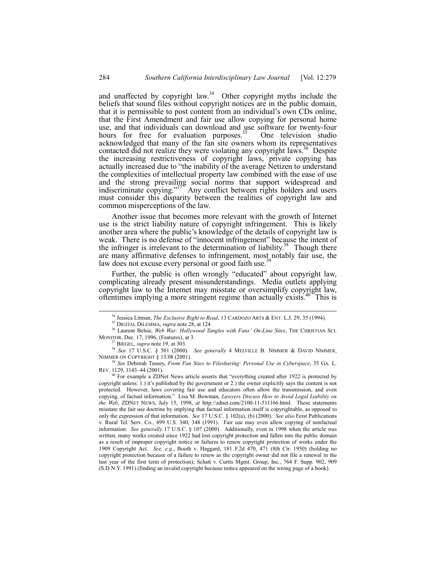and unaffected by copyright law. $34$  Other copyright myths include the beliefs that sound files without copyright notices are in the public domain, that it is permissible to post content from an individual's own CDs online, that the First Amendment and fair use allow copying for personal home use, and that individuals can download and use software for twenty-four hours for free for evaluation purposes.<sup>35</sup> One television studio acknowledged that many of the fan site owners whom its representatives contacted did not realize they were violating any copyright laws.<sup>36</sup> Despite the increasing restrictiveness of copyright laws, private copying has actually increased due to "the inability of the average Netizen to understand the complexities of intellectual property law combined with the ease of use and the strong prevailing social norms that support widespread and indiscriminate copying.<sup>37</sup> Any conflict between rights holders and users must consider this disparity between the realities of copyright law and common misperceptions of the law.

Another issue that becomes more relevant with the growth of Internet use is the strict liability nature of copyright infringement. This is likely another area where the public's knowledge of the details of copyright law is weak. There is no defense of "innocent infringement" because the intent of the infringer is irrelevant to the determination of liability.<sup>38</sup> Though there are many affirmative defenses to infringement, most notably fair use, the law does not excuse every personal or good faith use.<sup>3</sup>

Further, the public is often wrongly "educated" about copyright law, complicating already present misunderstandings. Media outlets applying copyright law to the Internet may misstate or oversimplify copyright law, oftentimes implying a more stringent regime than actually exists.<sup>40</sup> This is

<sup>&</sup>lt;sup>34</sup> Jessica Litman, *The Exclusive Right to Read*, 13 CARDOZO ARTS & ENT. L.J. 29, 35 (1994).

<sup>35</sup> DIGITAL DILEMMA, *supra* note 28, at 124.

<sup>&</sup>lt;sup>36</sup> Laurent Belsie, Web War: Hollywood Tangles with Fans' On-Line Sites, THE CHRISTIAN SCI. MONITOR, Dec. 17, 1996, (Features), at 3.

<sup>37</sup> BIEGEL, *supra* note 19, at 303.

<sup>38</sup> *See* 17 U.S.C. ß 501 (2000). *See generally* 4 MELVILLE B. NIMMER & DAVID NIMMER, NIMMER ON COPYRIGHT § 13.08 (2001).

<sup>39</sup> *See* Deborah Tussey, *From Fan Sites to Filesharing: Personal Use in Cyberspace*, 35 GA. L. REV. 1129, 1143-44 (2001).

 $40$  For example a ZDNet News article asserts that "everything created after 1922 is protected by copyright unless: 1.) it's published by the government or 2.) the owner explicitly says the content is not protected. However, laws covering fair use and educators often allow the transmission, and even copying, of factual information.î Lisa M. Bowman, *Lawyers Discuss How to Avoid Legal Liability on the Web*, ZDNET NEWS, July 15, 1998, *at* http://zdnet.com/2100-11-511166.html. These statements misstate the fair use doctrine by implying that factual information itself is copyrightable, as opposed to only the expression of that information. *See* 17 U.S.C. ß 102(a), (b) (2000). *See also* Feist Publications v. Rural Tel. Serv. Co*.*, 499 U.S. 340, 348 (1991). Fair use may even allow copying of nonfactual information. *See generally* 17 U.S.C. ß 107 (2000). Additionally, even in 1998 when the article was written, many works created since 1922 had lost copyright protection and fallen into the public domain as a result of improper copyright notice or failures to renew copyright protection of works under the 1909 Copyright Act. *See, e.g.*, Booth v. Haggard, 181 F.2d 470, 471 (8th Cir. 1950) (holding no copyright protection because of a failure to renew as the copyright owner did not file a renewal in the last year of the first term of protection); Schatt v. Curtis Mgmt. Group, Inc*.*, 764 F. Supp. 902, 909 (S.D.N.Y. 1991) (finding an invalid copyright because notice appeared on the wrong page of a book).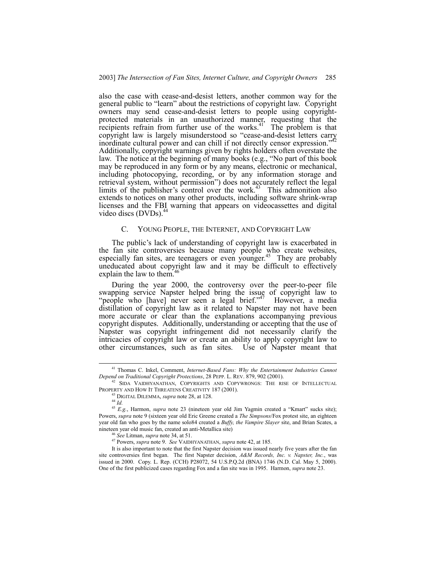also the case with cease-and-desist letters, another common way for the general public to "learn" about the restrictions of copyright law. Copyright owners may send cease-and-desist letters to people using copyrightprotected materials in an unauthorized manner, requesting that the recipients refrain from further use of the works. $41'$  The problem is that copyright law is largely misunderstood so "cease-and-desist letters carry" inordinate cultural power and can chill if not directly censor expression.<sup>77</sup> Additionally, copyright warnings given by rights holders often overstate the law. The notice at the beginning of many books (e.g., "No part of this book may be reproduced in any form or by any means, electronic or mechanical, including photocopying, recording, or by any information storage and retrieval system, without permission") does not accurately reflect the legal limits of the publisher's control over the work.<sup>43</sup> This admonition also extends to notices on many other products, including software shrink-wrap licenses and the FBI warning that appears on videocassettes and digital video discs  $(DVDs)$ .<sup>44</sup>

#### C. YOUNG PEOPLE, THE INTERNET, AND COPYRIGHT LAW

The public's lack of understanding of copyright law is exacerbated in the fan site controversies because many people who create websites, especially fan sites, are teenagers or even younger.<sup>45</sup> They are probably uneducated about copyright law and it may be difficult to effectively explain the law to them. $46$ 

During the year 2000, the controversy over the peer-to-peer file swapping service Napster helped bring the issue of copyright law to "people who [have] never seen a legal brief."<sup>47</sup> However, a media distillation of copyright law as it related to Napster may not have been more accurate or clear than the explanations accompanying previous copyright disputes. Additionally, understanding or accepting that the use of Napster was copyright infringement did not necessarily clarify the intricacies of copyright law or create an ability to apply copyright law to other circumstances, such as fan sites. Use of Napster meant that

 <sup>41</sup> Thomas C. Inkel, Comment, *Internet-Based Fans: Why the Entertainment Industries Cannot Depend on Traditional Copyright Protections*, 28 PEPP. L. REV. 879, 902 (2001).

SIDA VAIDHYANATHAN, COPYRIGHTS AND COPYWRONGS: THE RISE OF INTELLECTUAL PROPERTY AND HOW IT THREATENS CREATIVITY 187 (2001).

<sup>43</sup> DIGITAL DILEMMA, *supra* note 28, at 128.

<sup>44</sup> *Id.*

<sup>&</sup>lt;sup>45</sup> *E.g.*, Harmon, *supra* note 23 (nineteen year old Jim Yagmin created a "Kmart" sucks site); Powers, *supra* note 9 (sixteen year old Eric Greene created a *The Simpsons*/Fox protest site, an eighteen year old fan who goes by the name solo84 created a *Buffy, the Vampire Slayer* site, and Brian Scates, a nineteen year old music fan, created an anti-Metallica site)

<sup>46</sup> *See* Litman, *supra* note 34, at 51.

<sup>47</sup> Powers, *supra* note 9. *See* VAIDHYANATHAN, *supra* note 42, at 185.

It is also important to note that the first Napster decision was issued nearly five years after the fan site controversies first began. The first Napster decision, *A&M Records, Inc. v. Napster, Inc.*, was issued in 2000. Copy. L. Rep. (CCH) P28072, 54 U.S.P.Q.2d (BNA) 1746 (N.D. Cal. May 5, 2000). One of the first publicized cases regarding Fox and a fan site was in 1995. Harmon, *supra* note 23.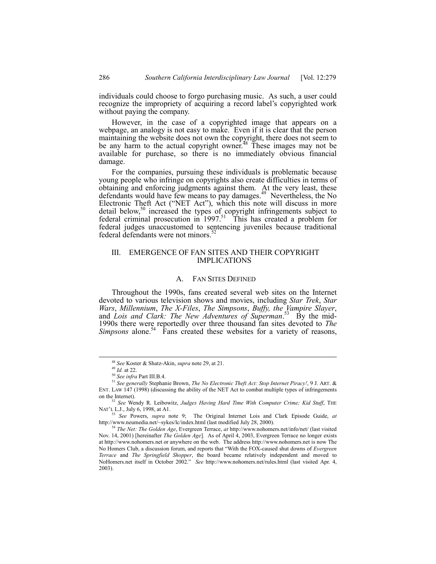individuals could choose to forgo purchasing music. As such, a user could recognize the impropriety of acquiring a record label's copyrighted work without paying the company.

However, in the case of a copyrighted image that appears on a webpage, an analogy is not easy to make. Even if it is clear that the person maintaining the website does not own the copyright, there does not seem to be any harm to the actual copyright owner.<sup>48</sup> These images may not be available for purchase, so there is no immediately obvious financial damage.

For the companies, pursuing these individuals is problematic because young people who infringe on copyrights also create difficulties in terms of obtaining and enforcing judgments against them. At the very least, these defendants would have few means to pay damages.<sup>49</sup> Nevertheless, the No Electronic Theft Act ("NET Act"), which this note will discuss in more detail below,<sup>50</sup> increased the types of copyright infringements subject to federal criminal prosecution in 1997.51 This has created a problem for federal judges unaccustomed to sentencing juveniles because traditional federal defendants were not minors.<sup>5</sup>

## III. EMERGENCE OF FAN SITES AND THEIR COPYRIGHT IMPLICATIONS

## A. FAN SITES DEFINED

Throughout the 1990s, fans created several web sites on the Internet devoted to various television shows and movies, including *Star Trek*, *Star Wars*, *Millennium*, *The X-Files*, *The Simpsons*, *Buffy, the Vampire Slayer*, and *Lois and Clark: The New Adventures of Superman*.<sup>53</sup> By the mid-1990s there were reportedly over three thousand fan sites devoted to *The Simpsons* alone.<sup>54</sup> Fans created these websites for a variety of reasons,

 <sup>48</sup> *See* Koster & Shatz-Akin, *supra* note 29, at 21.

<sup>49</sup> *Id.* at 22.

<sup>50</sup> *See infra* Part III.B.4.

<sup>51</sup> *See generally* Stephanie Brown, *The No Electronic Theft Act: Stop Internet Piracy!*, 9 J. ART. & ENT. LAW 147 (1998) (discussing the ability of the NET Act to combat multiple types of infringements on the Internet).

<sup>52</sup> *See* Wendy R. Leibowitz, *Judges Having Hard Time With Computer Crime; Kid Stuff*, THE NAT'L L.J., July 6, 1998, at A1.

<sup>53</sup> *See* Powers, *supra* note 9; The Original Internet Lois and Clark Episode Guide, *at* http://www.neumedia.net/~sykes/lc/index.html (last modified July 28, 2000).

<sup>54</sup> *The Net: The Golden Age*, Evergreen Terrace, *at* http://www.nohomers.net/info/net/ (last visited Nov. 14, 2001) [hereinafter *The Golden Age*]. As of April 4, 2003, Evergreen Terrace no longer exists at http://www.nohomers.net or anywhere on the web. The address http://www.nohomers.net is now The No Homers Club, a discussion forum, and reports that "With the FOX-caused shut downs of *Evergreen Terrace* and *The Springfield Shopper*, the board became relatively independent and moved to NoHomers.net itself in October 2002.î *See* http://www.nohomers.net/rules.html (last visited Apr. 4, 2003).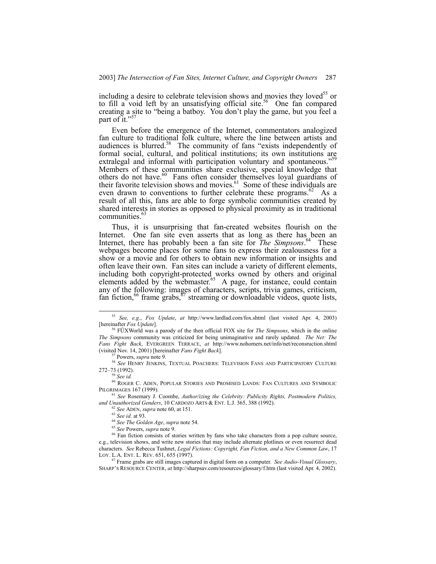including a desire to celebrate television shows and movies they loved<sup>55</sup> or to fill a void left by an unsatisfying official site.<sup>56</sup> One fan compared creating a site to "being a batboy. You don't play the game, but you feel a part of it. $"$ 

Even before the emergence of the Internet, commentators analogized fan culture to traditional folk culture, where the line between artists and audiences is blurred. $58$  The community of fans "exists independently of formal social, cultural, and political institutions; its own institutions are extralegal and informal with participation voluntary and spontaneous.<sup>359</sup> Members of these communities share exclusive, special knowledge that others do not have.<sup>60</sup> Fans often consider themselves loyal guardians of their favorite television shows and movies. $61$  Some of these individuals are even drawn to conventions to further celebrate these programs.<sup>62</sup> As a result of all this, fans are able to forge symbolic communities created by shared interests in stories as opposed to physical proximity as in traditional communities.<sup>6</sup>

Thus, it is unsurprising that fan-created websites flourish on the Internet. One fan site even asserts that as long as there has been an Internet, there has probably been a fan site for *The Simpsons*. 64 These webpages become places for some fans to express their zealousness for a show or a movie and for others to obtain new information or insights and often leave their own. Fan sites can include a variety of different elements, including both copyright-protected works owned by others and original elements added by the webmaster.<sup>65</sup> A page, for instance, could contain any of the following: images of characters, scripts, trivia games, criticism, fan fiction,  $^{66}$  frame grabs,  $^{67}$  streaming or downloadable videos, quote lists,

Powers, *supra* note 9.

<sup>62</sup> *See* ADEN, *supra* note 60, at 151.

<sup>65</sup> *See* Powers, *supra* note 9.

 <sup>55</sup> *See, e.g.*, *Fox Update*, *at* http://www.lardlad.com/fox.shtml (last visited Apr. 4, 2003) [hereinafter *Fox Update*].

FÜXWorld was a parody of the then official FOX site for *The Simpsons*, which in the online *The Simpsons* community was criticized for being unimaginative and rarely updated. *The Net: The Fans Fight Back*, EVERGREEN TERRACE, *at* http://www.nohomers.net/info/net/reconsruction.shtml (visited Nov. 14, 2001) [hereinafter *Fans Fight Back*].

<sup>58</sup> *See* HENRY JENKINS, TEXTUAL POACHERS: TELEVISION FANS AND PARTICIPATORY CULTURE 272-73 (1992).

<sup>59</sup> *See id.*

<sup>60</sup> ROGER C. ADEN, POPULAR STORIES AND PROMISED LANDS: FAN CULTURES AND SYMBOLIC PILGRIMAGES 167 (1999).

<sup>61</sup> *See* Rosemary J. Coombe, *Author/izing the Celebrity: Publicity Rights, Postmodern Politics, and Unauthorized Genders*, 10 CARDOZO ARTS & ENT. L.J. 365, 388 (1992).

<sup>63</sup> *See id.* at 93.

<sup>64</sup> *See The Golden Age*, *supra* note 54.

<sup>&</sup>lt;sup>66</sup> Fan fiction consists of stories written by fans who take characters from a pop culture source, e.g., television shows, and write new stories that may include alternate plotlines or even resurrect dead characters. *See* Rebecca Tushnet, *Legal Fictions: Copyright, Fan Fiction, and a New Common Law*, 17 LOY. L.A. ENT. L. REV. 651, 655 (1997).

<sup>67</sup> Frame grabs are still images captured in digital form on a computer. *See Audio-Visual Glossary*, SHARPíS RESOURCE CENTER, *at* http://sharpsav.com/resources/glossary/f.htm (last visited Apr. 4, 2002).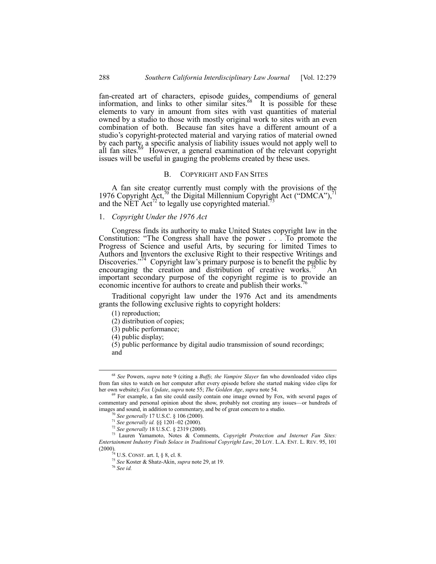fan-created art of characters, episode guides, compendiums of general information, and links to other similar sites. $68$  It is possible for these elements to vary in amount from sites with vast quantities of material owned by a studio to those with mostly original work to sites with an even combination of both. Because fan sites have a different amount of a studio's copyright-protected material and varying ratios of material owned by each party, a specific analysis of liability issues would not apply well to all fan sites.<sup>69</sup> However, a general examination of the relevant copyright issues will be useful in gauging the problems created by these uses.

#### B. COPYRIGHT AND FAN SITES

A fan site creator currently must comply with the provisions of the 1976 Copyright Act,<sup>70</sup> the Digital Millennium Copyright Act ("DMCA"),<sup>71</sup> and the  $\text{NET} \cdot \text{Act}^{\text{72}}$  to legally use copyrighted material.<sup>7</sup>

## 1. *Copyright Under the 1976 Act*

Congress finds its authority to make United States copyright law in the Constitution: "The Congress shall have the power . . . To promote the Progress of Science and useful Arts, by securing for limited Times to Authors and Inventors the exclusive Right to their respective Writings and Discoveries.<sup> $274$ </sup> Copyright law's primary purpose is to benefit the public by encouraging the creation and distribution of creative works.<sup>75</sup> An important secondary purpose of the copyright regime is to provide an economic incentive for authors to create and publish their works.

Traditional copyright law under the 1976 Act and its amendments grants the following exclusive rights to copyright holders:

(1) reproduction;

(2) distribution of copies;

(3) public performance;

(4) public display;

(5) public performance by digital audio transmission of sound recordings; and

 <sup>68</sup> *See* Powers, *supra* note 9 (citing a *Buffy, the Vampire Slayer* fan who downloaded video clips from fan sites to watch on her computer after every episode before she started making video clips for her own website); *Fox Update*, *supra* note 55; *The Golden Age*, *supra* note 54.

<sup>&</sup>lt;sup>69</sup> For example, a fan site could easily contain one image owned by Fox, with several pages of commentary and personal opinion about the show, probably not creating any issues-or hundreds of images and sound, in addition to commentary, and be of great concern to a studio.

<sup>70</sup> *See generally* 17 U.S.C. ß 106 (2000).

<sup>&</sup>lt;sup>71</sup> See generally *id.* §§ 1201-02 (2000).

<sup>72</sup> *See generally* 18 U.S.C. ß 2319 (2000).

<sup>73</sup> Lauren Yamamoto, Notes & Comments, *Copyright Protection and Internet Fan Sites: Entertainment Industry Finds Solace in Traditional Copyright Law*, 20 LOY. L.A. ENT. L. REV. 95, 101 (2000).

 $74$  U.S. CONST. art. I, § 8, cl. 8.

<sup>75</sup> *See* Koster & Shatz-Akin, *supra* note 29, at 19.

<sup>76</sup> *See id.*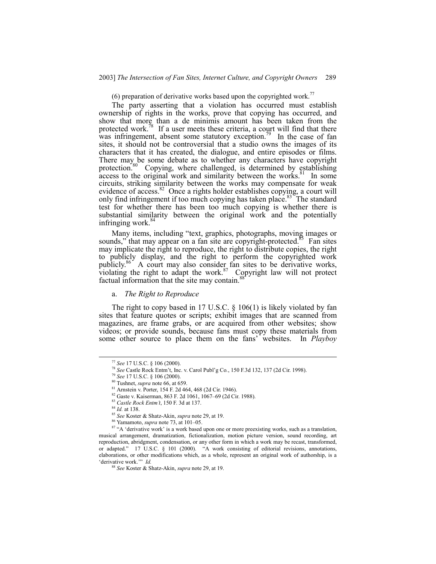(6) preparation of derivative works based upon the copyrighted work.<sup>77</sup>

The party asserting that a violation has occurred must establish ownership of rights in the works, prove that copying has occurred, and show that more than a de minimis amount has been taken from the protected work.<sup>78</sup> If a user meets these criteria, a court will find that there was infringement, absent some statutory exception.<sup>79</sup> In the case of fan sites, it should not be controversial that a studio owns the images of its characters that it has created, the dialogue, and entire episodes or films. There may be some debate as to whether any characters have copyright protection<sup>80</sup> Copying, where challenged, is determined by establishing  $\alpha$  access to the original work and similarity between the works.<sup>81</sup> In some circuits, striking similarity between the works may compensate for weak evidence of access.<sup>82</sup> Once a rights holder establishes copying, a court will only find infringement if too much copying has taken place.<sup>83</sup> The standard test for whether there has been too much copying is whether there is substantial similarity between the original work and the potentially infringing work. $84$ 

Many items, including "text, graphics, photographs, moving images or sounds," that may appear on a fan site are copyright-protected.<sup>85</sup> Fan sites may implicate the right to reproduce, the right to distribute copies, the right to publicly display, and the right to perform the copyrighted work publicly.<sup>86</sup> A court may also consider fan sites to be derivative works, violating the right to adapt the work. $87$  Copyright law will not protect factual information that the site may contain.<sup>8</sup>

a. *The Right to Reproduce*

The right to copy based in 17 U.S.C.  $\S$  106(1) is likely violated by fan sites that feature quotes or scripts; exhibit images that are scanned from magazines, are frame grabs, or are acquired from other websites; show videos; or provide sounds, because fans must copy these materials from some other source to place them on the fansí websites. In *Playboy*

 <sup>77</sup> *See* 17 U.S.C. ß 106 (2000).

<sup>78</sup> *See* Castle Rock Entmít, Inc. v. Carol Publíg Co*.*, 150 F.3d 132, 137 (2d Cir. 1998).

<sup>79</sup> *See* 17 U.S.C. ß 106 (2000).

<sup>80</sup> Tushnet, *supra* note 66, at 659.

<sup>81</sup> Arnstein v. Porter, 154 F. 2d 464, 468 (2d Cir. 1946).

<sup>82</sup> Gaste v. Kaiserman, 863 F. 2d 1061, 1067-69 (2d Cir. 1988).

<sup>83</sup> *Castle Rock Entmít*, 150 F. 3d at 137.

<sup>84</sup> *Id.* at 138.

<sup>85</sup> *See* Koster & Shatz-Akin, *supra* note 29, at 19.

<sup>&</sup>lt;sup>86</sup> Yamamoto, *supra* note 73, at 101-05.

<sup>&</sup>lt;sup>87</sup> "A 'derivative work' is a work based upon one or more preexisting works, such as a translation, musical arrangement, dramatization, fictionalization, motion picture version, sound recording, art reproduction, abridgment, condensation, or any other form in which a work may be recast, transformed, or adapted." 17 U.S.C.  $\S$  101 (2000). "A work consisting of editorial revisions, annotations, elaborations, or other modifications which, as a whole, represent an original work of authorship, is a 'derivative work.'" *Id.* 

<sup>88</sup> *See* Koster & Shatz-Akin, *supra* note 29, at 19.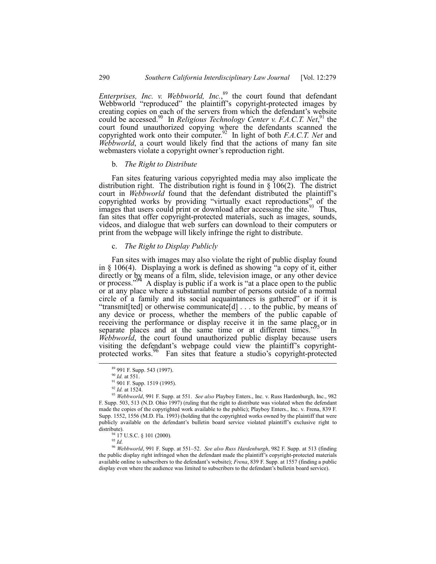*Enterprises, Inc. v. Webbworld, Inc.*, 89 the court found that defendant Webbworld "reproduced" the plaintiff's copyright-protected images by creating copies on each of the servers from which the defendant's website could be accessed.<sup>90</sup> In *Religious Technology Center v. F.A.C.T. Net*,<sup>91</sup> the court found unauthorized copying where the defendants scanned the copyrighted work onto their computer.<sup>92</sup> In light of both *F.A.C.T. Net* and *Webbworld*, a court would likely find that the actions of many fan site webmasters violate a copyright owner's reproduction right.

#### b. *The Right to Distribute*

Fan sites featuring various copyrighted media may also implicate the distribution right. The distribution right is found in  $\S$  106(2). The district court in *Webbworld* found that the defendant distributed the plaintiff's copyrighted works by providing "virtually exact reproductions" of the images that users could print or download after accessing the site.<sup>93</sup> Thus, fan sites that offer copyright-protected materials, such as images, sounds, videos, and dialogue that web surfers can download to their computers or print from the webpage will likely infringe the right to distribute.

## c. *The Right to Display Publicly*

Fan sites with images may also violate the right of public display found in  $§$  106(4). Displaying a work is defined as showing "a copy of it, either directly or by means of a film, slide, television image, or any other device or process." A display is public if a work is "at a place open to the public or at any place where a substantial number of persons outside of a normal circle of a family and its social acquaintances is gathered" or if it is "transmit[ted] or otherwise communicate[d]  $\ldots$  to the public, by means of any device or process, whether the members of the public capable of receiving the performance or display receive it in the same place or in separate places and at the same time or at different times.<sup>995</sup> In *Webbworld*, the court found unauthorized public display because users visiting the defendant's webpage could view the plaintiff's copyrightprotected works.<sup>86</sup> Fan sites that feature a studio's copyright-protected

<sup>94</sup> 17 U.S.C. § 101 (2000).

<sup>96</sup> Webbworld, 991 F. Supp. at 551-52. *See also Russ Hardenburgh*, 982 F. Supp. at 513 (finding the public display right infringed when the defendant made the plaintiff's copyright-protected materials available online to subscribers to the defendant's website); *Frena*, 839 F. Supp. at 1557 (finding a public display even where the audience was limited to subscribers to the defendant's bulletin board service).

 <sup>89 991</sup> F. Supp. 543 (1997).

<sup>90</sup> *Id.* at 551.

<sup>91 901</sup> F. Supp. 1519 (1995).

<sup>92</sup> *Id.* at 1524.

<sup>93</sup> *Webbworld*, 991 F. Supp. at 551. *See also* Playboy Enters., Inc. v. Russ Hardenburgh, Inc., 982 F. Supp. 503, 513 (N.D. Ohio 1997) (ruling that the right to distribute was violated when the defendant made the copies of the copyrighted work available to the public); Playboy Enters., Inc. v. Frena, 839 F. Supp. 1552, 1556 (M.D. Fla. 1993) (holding that the copyrighted works owned by the plaintiff that were publicly available on the defendant's bulletin board service violated plaintiff's exclusive right to distribute).

<sup>95</sup> *Id.*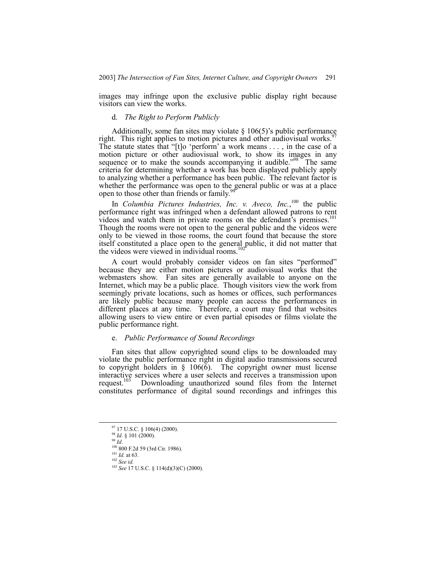images may infringe upon the exclusive public display right because visitors can view the works.

## d. *The Right to Perform Publicly*

Additionally, some fan sites may violate  $\S 106(5)$ 's public performance right. This right applies to motion pictures and other audiovisual works.<sup>97</sup> The statute states that "[t]o 'perform' a work means  $\dots$ , in the case of a motion picture or other audiovisual work, to show its images in any sequence or to make the sounds accompanying it audible.<sup>798</sup> The same criteria for determining whether a work has been displayed publicly apply to analyzing whether a performance has been public. The relevant factor is whether the performance was open to the general public or was at a place open to those other than friends or family.<sup>9</sup>

In *Columbia Pictures Industries, Inc. v. Aveco, Inc.*,<sup>100</sup> the public performance right was infringed when a defendant allowed patrons to rent videos and watch them in private rooms on the defendant's premises.<sup>101</sup> Though the rooms were not open to the general public and the videos were only to be viewed in those rooms, the court found that because the store itself constituted a place open to the general public, it did not matter that the videos were viewed in individual rooms.<sup>102</sup>

A court would probably consider videos on fan sites "performed" because they are either motion pictures or audiovisual works that the webmasters show. Fan sites are generally available to anyone on the Internet, which may be a public place. Though visitors view the work from seemingly private locations, such as homes or offices, such performances are likely public because many people can access the performances in different places at any time. Therefore, a court may find that websites allowing users to view entire or even partial episodes or films violate the public performance right.

#### e. *Public Performance of Sound Recordings*

Fan sites that allow copyrighted sound clips to be downloaded may violate the public performance right in digital audio transmissions secured to copyright holders in  $\S$  106(6). The copyright owner must license interactive services where a user selects and receives a transmission upon request.<sup>103</sup> Downloading unauthorized sound files from the Internet Downloading unauthorized sound files from the Internet constitutes performance of digital sound recordings and infringes this

 <sup>97 17</sup> U.S.C. ß 106(4) (2000).

<sup>&</sup>lt;sup>98</sup> *Id.* § 101 (2000).

<sup>99</sup> *Id*.

<sup>100 800</sup> F.2d 59 (3rd Cir. 1986).

 $^{101}$  *Id.* at 63.

<sup>102</sup> *See id.*

<sup>103</sup> *See* 17 U.S.C. ß 114(d)(3)(C) (2000).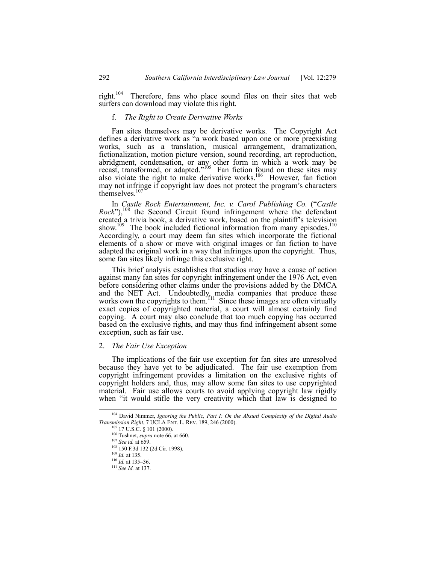right.<sup>104</sup> Therefore, fans who place sound files on their sites that web surfers can download may violate this right.

## f. *The Right to Create Derivative Works*

Fan sites themselves may be derivative works. The Copyright Act defines a derivative work as  $\ddot{a}$  work based upon one or more preexisting works, such as a translation, musical arrangement, dramatization, fictionalization, motion picture version, sound recording, art reproduction, abridgment, condensation, or any other form in which a work may be recast, transformed, or adapted.<sup> $105$ </sup> Fan fiction found on these sites may also violate the right to make derivative works.<sup>106</sup> However, fan fiction may not infringe if copyright law does not protect the program's characters themselves.<sup>10</sup>

In *Castle Rock Entertainment, Inc. v. Carol Publishing Co.* ("Castle  $Rock$ <sup>"</sup>),<sup>108</sup> the Second Circuit found infringement where the defendant created a trivia book, a derivative work, based on the plaintiff's television show.<sup>109</sup> The book included fictional information from many episodes.<sup>110</sup> Accordingly, a court may deem fan sites which incorporate the fictional elements of a show or move with original images or fan fiction to have adapted the original work in a way that infringes upon the copyright. Thus, some fan sites likely infringe this exclusive right.

This brief analysis establishes that studios may have a cause of action against many fan sites for copyright infringement under the 1976 Act, even before considering other claims under the provisions added by the DMCA and the NET Act. Undoubtedly, media companies that produce these works own the copyrights to them.<sup>111</sup> Since these images are often virtually exact copies of copyrighted material, a court will almost certainly find copying. A court may also conclude that too much copying has occurred based on the exclusive rights, and may thus find infringement absent some exception, such as fair use.

#### 2. *The Fair Use Exception*

The implications of the fair use exception for fan sites are unresolved because they have yet to be adjudicated. The fair use exemption from copyright infringement provides a limitation on the exclusive rights of copyright holders and, thus, may allow some fan sites to use copyrighted material. Fair use allows courts to avoid applying copyright law rigidly when "it would stifle the very creativity which that law is designed to

 <sup>104</sup> David Nimmer, *Ignoring the Public, Part I: On the Absurd Complexity of the Digital Audio Transmission Right*, 7 UCLA ENT. L. REV. 189, 246 (2000).

<sup>17</sup> U.S.C. § 101 (2000).

<sup>106</sup> Tushnet, *supra* note 66, at 660.

<sup>107</sup> *See id.* at 659.

<sup>108 150</sup> F.3d 132 (2d Cir. 1998).

<sup>109</sup> *Id.* at 135.

 $\frac{110}{10}$  *Id.* at 135–36.

<sup>111</sup> *See Id.* at 137.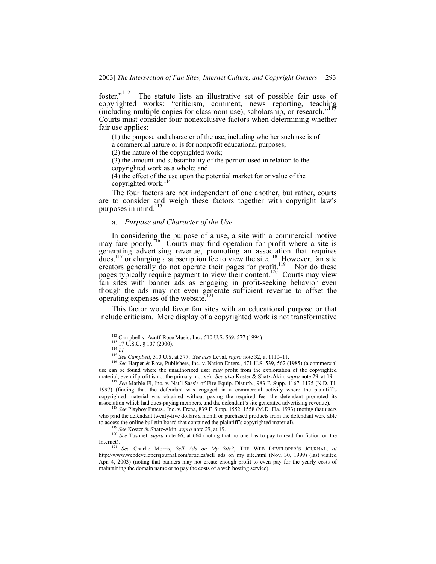foster.<sup> $112$ </sup> The statute lists an illustrative set of possible fair uses of copyrighted works: "criticism, comment, news reporting, teaching  $(including multiple copies for classroom use)$ , scholarship, or research.<sup>31</sup> Courts must consider four nonexclusive factors when determining whether fair use applies:

(1) the purpose and character of the use, including whether such use is of

a commercial nature or is for nonprofit educational purposes;

(2) the nature of the copyrighted work;

(3) the amount and substantiality of the portion used in relation to the copyrighted work as a whole; and

(4) the effect of the use upon the potential market for or value of the copyrighted work.<sup>114</sup>

The four factors are not independent of one another, but rather, courts are to consider and weigh these factors together with copyright law's purposes in mind. $115$ 

## a. *Purpose and Character of the Use*

In considering the purpose of a use, a site with a commercial motive may fare poorly.<sup>116</sup> Courts may find operation for profit where a site is generating advertising revenue, promoting an association that requires dues,<sup>117</sup> or charging a subscription fee to view the site.<sup>118</sup> However, fan site creators generally do not operate their pages for profit.<sup>119</sup> Nor do these pages typically require payment to view their content.<sup>120</sup> Courts may view fan sites with banner ads as engaging in profit-seeking behavior even though the ads may not even generate sufficient revenue to offset the operating expenses of the website.<sup>1</sup>

This factor would favor fan sites with an educational purpose or that include criticism. Mere display of a copyrighted work is not transformative

 <sup>112</sup> Campbell v. Acuff-Rose Music, Inc*.*, 510 U.S. 569, 577 (1994)

<sup>113 17</sup> U.S.C. ß 107 (2000).

<sup>114</sup> *Id.*

<sup>&</sup>lt;sup>115</sup> *See Campbell*, 510 U.S. at 577. *See also* Leval, *supra* note 32, at 1110–11.

<sup>116</sup> *See* Harper & Row, Publishers, Inc. v. Nation Enters*.*, 471 U.S. 539, 562 (1985) (a commercial use can be found where the unauthorized user may profit from the exploitation of the copyrighted material, even if profit is not the primary motive). *See also* Koster & Shatz-Akin, *supra* note 29, at 19.

<sup>117</sup> *See* Marble-Fl, Inc. v. Natíl Sassís of Fire Equip. Disturb*.*, 983 F. Supp. 1167, 1175 (N.D. Ill. 1997) (finding that the defendant was engaged in a commercial activity where the plaintiffís copyrighted material was obtained without paying the required fee, the defendant promoted its association which had dues-paying members, and the defendant's site generated advertising revenue).

<sup>&</sup>lt;sup>3</sup> See Playboy Enters., Inc. v. Frena, 839 F. Supp. 1552, 1558 (M.D. Fla. 1993) (noting that users who paid the defendant twenty-five dollars a month or purchased products from the defendant were able to access the online bulletin board that contained the plaintiff's copyrighted material).

<sup>119</sup> *See* Koster & Shatz-Akin, *supra* note 29, at 19.

<sup>&</sup>lt;sup>120</sup> *See* Tushnet, *supra* note 66, at 664 (noting that no one has to pay to read fan fiction on the Internet).

<sup>&</sup>lt;sup>121</sup> See Charlie Morris, Sell Ads on My Site?, THE WEB DEVELOPER'S JOURNAL, at http://www.webdevelopersjournal.com/articles/sell\_ads\_on\_my\_site.html (Nov. 30, 1999) (last visited Apr. 4, 2003) (noting that banners may not create enough profit to even pay for the yearly costs of maintaining the domain name or to pay the costs of a web hosting service).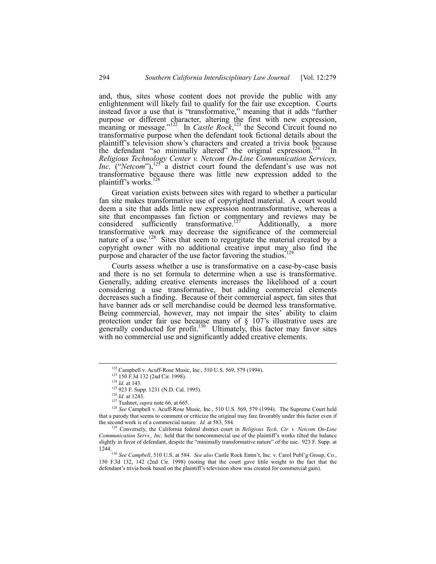and, thus, sites whose content does not provide the public with any enlightenment will likely fail to qualify for the fair use exception. Courts instead favor a use that is "transformative," meaning that it adds "further purpose or different character, altering the first with new expression, meaning or message."<sup>122</sup> In *Castle Rock*,<sup>123</sup> the Second Circuit found no transformative purpose when the defendant took fictional details about the plaintiff's television show's characters and created a trivia book because the defendant "so minimally altered" the original expression.<sup>124</sup> In *Religious Technology Center v. Netcom On-Line Communication Services, Inc.* ("*Netcom*"),<sup>125</sup><sup>"</sup> a district court found the defendant's use was not transformative because there was little new expression added to the plaintiff's works. $^{12}$ 

Great variation exists between sites with regard to whether a particular fan site makes transformative use of copyrighted material. A court would deem a site that adds little new expression nontransformative, whereas a site that encompasses fan fiction or commentary and reviews may be considered sufficiently transformative.<sup>127</sup> Additionally, a more transformative work may decrease the significance of the commercial nature of a use.<sup>128</sup> Sites that seem to regurgitate the material created by a copyright owner with no additional creative input  $\max_{129}$  also find the purpose and character of the use factor favoring the studios.

Courts assess whether a use is transformative on a case-by-case basis and there is no set formula to determine when a use is transformative. Generally, adding creative elements increases the likelihood of a court considering a use transformative, but adding commercial elements decreases such a finding. Because of their commercial aspect, fan sites that have banner ads or sell merchandise could be deemed less transformative. Being commercial, however, may not impair the sites' ability to claim protection under fair use because many of  $\S$  107's illustrative uses are generally conducted for profit.<sup>130</sup> Ultimately, this factor may favor sites with no commercial use and significantly added creative elements.

 <sup>122</sup> Campbell v. Acuff-Rose Music, Inc*.*, 510 U.S. 569, 579 (1994).

<sup>&</sup>lt;sup>123</sup> 150 F.3d 132 (2nd Cir. 1998).

<sup>124</sup> *Id.* at 143.

<sup>125 923</sup> F. Supp. 1231 (N.D. Cal. 1995).

<sup>126</sup> *Id.* at 1243.

<sup>127</sup> Tushnet, *supra* note 66, at 665.

<sup>128</sup> *See* Campbell v. Acuff-Rose Music, Inc*.*, 510 U.S. 569, 579 (1994). The Supreme Court held that a parody that seems to comment or criticize the original may fare favorably under this factor even if the second work is of a commercial nature. *Id.* at 583, 584.

<sup>129</sup> Conversely, the California federal district court in *Religious Tech. Ctr. v. Netcom On-Line Communication Servs., Inc.* held that the noncommercial use of the plaintiff's works tilted the balance slightly in favor of defendant, despite the "minimally transformative nature" of the use. 923 F. Supp. at

<sup>1244.130</sup> *See Campbell*, 510 U.S. at 584. *See also* Castle Rock Entmít, Inc. v. Carol Publíg Group, Co*.*, 150 F.3d 132, 142 (2nd Cir. 1998) (noting that the court gave little weight to the fact that the defendant's trivia book based on the plaintiff's television show was created for commercial gain).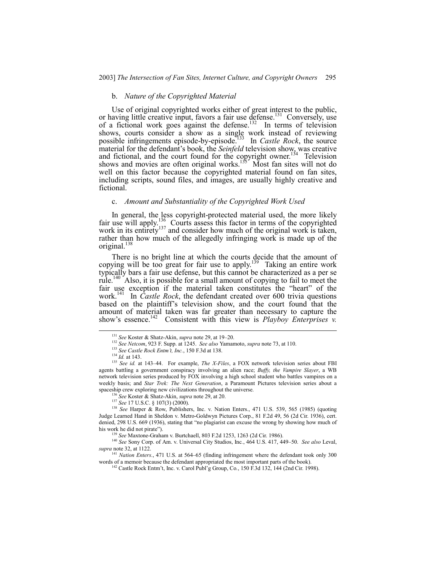#### b. *Nature of the Copyrighted Material*

Use of original copyrighted works either of great interest to the public, or having little creative input, favors a fair use defense.<sup>131</sup> Conversely, use of a fictional work goes against the defense.<sup>132</sup> In terms of television shows, courts consider a show as a single work instead of reviewing possible infringements episode-by-episode.133 In *Castle Rock*, the source material for the defendant's book, the *Seinfeld* television show, was creative and fictional, and the court found for the copyright owner.<sup>134</sup> Television shows and movies are often original works.<sup>135</sup> Most fan sites will not do well on this factor because the copyrighted material found on fan sites, including scripts, sound files, and images, are usually highly creative and fictional.

## c. *Amount and Substantiality of the Copyrighted Work Used*

In general, the less copyright-protected material used, the more likely fair use will apply.<sup>136</sup> Courts assess this factor in terms of the copyrighted work in its entirety<sup>137</sup> and consider how much of the original work is taken, rather than how much of the allegedly infringing work is made up of the original. $138$ 

There is no bright line at which the courts decide that the amount of copying will be too great for fair use to apply.<sup>139</sup> Taking an entire work typically bars a fair use defense, but this cannot be characterized as a per se rule.<sup>140</sup> Also, it is possible for a small amount of copying to fail to meet the fair use exception if the material taken constitutes the "heart" of the work.<sup>141</sup> In *Castle Rock*, the defendant created over 600 trivia questions based on the plaintiff's television show, and the court found that the amount of material taken was far greater than necessary to capture the show's essence.<sup>142</sup> Consistent with this view is *Playboy Enterprises v.* 

<sup>141</sup> Nation Enters., 471 U.S. at 564–65 (finding infringement where the defendant took only 300 words of a memoir because the defendant appropriated the most important parts of the book).

<sup>&</sup>lt;sup>131</sup> See Koster & Shatz-Akin, *supra* note 29, at 19-20.

<sup>132</sup> *See Netcom*, 923 F. Supp. at 1245. *See also* Yamamoto, *supra* note 73, at 110.

<sup>133</sup> *See Castle Rock Entmít, Inc.*, 150 F.3d at 138.

<sup>134</sup> *Id.* at 143.

<sup>&</sup>lt;sup>135</sup> See id. at 143-44. For example, *The X-Files*, a FOX network television series about FBI agents battling a government conspiracy involving an alien race; *Buffy, the Vampire Slayer*, a WB network television series produced by FOX involving a high school student who battles vampires on a weekly basis; and *Star Trek: The Next Generation*, a Paramount Pictures television series about a spaceship crew exploring new civilizations throughout the universe.

<sup>136</sup> *See* Koster & Shatz-Akin, *supra* note 29, at 20.

<sup>137</sup> *See* 17 U.S.C. ß 107(3) (2000).

<sup>&</sup>lt;sup>138</sup> See Harper & Row, Publishers, Inc. v. Nation Enters., 471 U.S. 539, 565 (1985) (quoting Judge Learned Hand in Sheldon v. Metro-Goldwyn Pictures Corp., 81 F.2d 49, 56 (2d Cir. 1936), cert. denied, 298 U.S. 669 (1936), stating that "no plagiarist can excuse the wrong by showing how much of his work he did not pirate").

<sup>139</sup> *See* Maxtone-Graham v. Burtchaell, 803 F.2d 1253, 1263 (2d Cir. 1986).

<sup>&</sup>lt;sup>140</sup> See Sony Corp. of Am. v. Universal City Studios, Inc., 464 U.S. 417, 449-50. *See also* Leval, *supra* note 32, at 1122.

<sup>&</sup>lt;sup>142</sup> Castle Rock Entm<sup>2</sup>t, Inc. v. Carol Publ<sup>2</sup>g Group, Co., 150 F.3d 132, 144 (2nd Cir. 1998).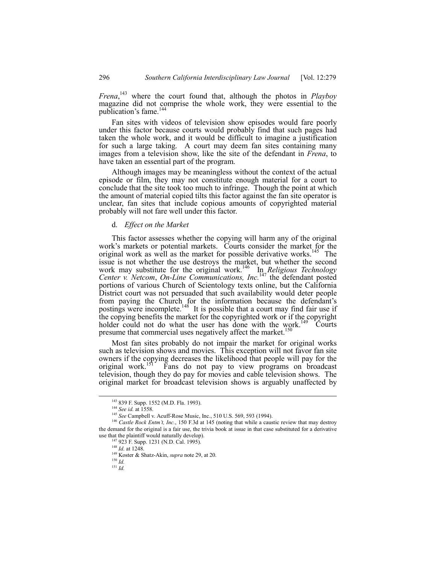*Frena*, 143 where the court found that, although the photos in *Playboy* magazine did not comprise the whole work, they were essential to the publication's fame.<sup>144</sup>

Fan sites with videos of television show episodes would fare poorly under this factor because courts would probably find that such pages had taken the whole work, and it would be difficult to imagine a justification for such a large taking. A court may deem fan sites containing many images from a television show, like the site of the defendant in *Frena*, to have taken an essential part of the program.

Although images may be meaningless without the context of the actual episode or film, they may not constitute enough material for a court to conclude that the site took too much to infringe. Though the point at which the amount of material copied tilts this factor against the fan site operator is unclear, fan sites that include copious amounts of copyrighted material probably will not fare well under this factor.

#### d. *Effect on the Market*

This factor assesses whether the copying will harm any of the original work's markets or potential markets. Courts consider the market for the original work as well as the market for possible derivative works.<sup>145</sup> The issue is not whether the use destroys the market, but whether the second work may substitute for the original work.<sup>146</sup> In *Religious Technology Center v. Netcom*, *On-Line Communications, Inc.*147 the defendant posted portions of various Church of Scientology texts online, but the California District court was not persuaded that such availability would deter people from paying the Church for the information because the defendant's postings were incomplete.<sup>148</sup> It is possible that a court may find fair use if the copying benefits the market for the copyrighted work or if the copyright holder could not do what the user has done with the work.<sup>149</sup> Courts presume that commercial uses negatively affect the market.<sup>15</sup>

Most fan sites probably do not impair the market for original works such as television shows and movies. This exception will not favor fan site owners if the copying decreases the likelihood that people will pay for the original work.<sup>151</sup> Fans do not pay to view programs on broadcast Fans do not pay to view programs on broadcast television, though they do pay for movies and cable television shows. The original market for broadcast television shows is arguably unaffected by

 <sup>143 839</sup> F. Supp. 1552 (M.D. Fla. 1993).

<sup>144</sup> *See id.* at 1558.

<sup>145</sup> *See* Campbell v. Acuff-Rose Music, Inc., 510 U.S. 569, 593 (1994).

<sup>&</sup>lt;sup>146</sup> Castle Rock Entm't, Inc., 150 F.3d at 145 (noting that while a caustic review that may destroy the demand for the original is a fair use, the trivia book at issue in that case substituted for a derivative use that the plaintiff would naturally develop).

<sup>&</sup>lt;sup>147</sup> 923 F. Supp. 1231 (N.D. Cal. 1995).

<sup>148</sup> *Id.* at 1248.

<sup>149</sup> Koster & Shatz-Akin, *supra* note 29, at 20.

<sup>150</sup> *Id.*

<sup>151</sup> *Id.*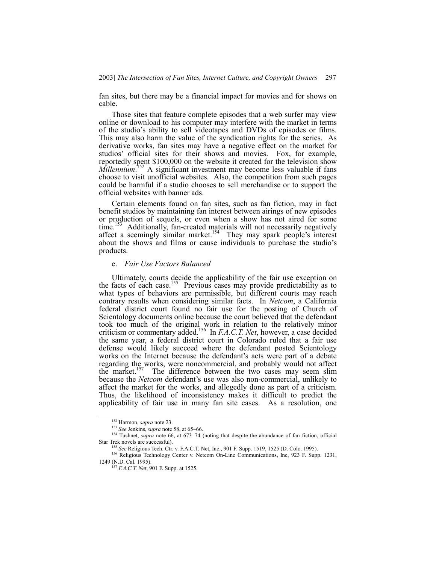fan sites, but there may be a financial impact for movies and for shows on cable.

Those sites that feature complete episodes that a web surfer may view online or download to his computer may interfere with the market in terms of the studioís ability to sell videotapes and DVDs of episodes or films. This may also harm the value of the syndication rights for the series. As derivative works, fan sites may have a negative effect on the market for studios' official sites for their shows and movies. Fox, for example, reportedly spent \$100,000 on the website it created for the television show *Millennium*.<sup>152</sup> A significant investment may become less valuable if fans choose to visit unofficial websites. Also, the competition from such pages could be harmful if a studio chooses to sell merchandise or to support the official websites with banner ads.

Certain elements found on fan sites, such as fan fiction, may in fact benefit studios by maintaining fan interest between airings of new episodes or production of sequels, or even when a show has not aired for some  $time$ <sup>153</sup> Additionally, fan-created materials will not necessarily negatively affect a seemingly similar market.<sup>154</sup> They may spark people's interest about the shows and films or cause individuals to purchase the studio's products.

#### e. *Fair Use Factors Balanced*

Ultimately, courts decide the applicability of the fair use exception on the facts of each case.<sup>155</sup> Previous cases may provide predictability as to what types of behaviors are permissible, but different courts may reach contrary results when considering similar facts. In *Netcom*, a California federal district court found no fair use for the posting of Church of Scientology documents online because the court believed that the defendant took too much of the original work in relation to the relatively minor criticism or commentary added.156 In *F.A.C.T. Net*, however, a case decided the same year, a federal district court in Colorado ruled that a fair use defense would likely succeed where the defendant posted Scientology works on the Internet because the defendant's acts were part of a debate regarding the works, were noncommercial, and probably would not affect the market.<sup>157</sup> The difference between the two cases may seem slim because the *Netcom* defendant's use was also non-commercial, unlikely to affect the market for the works, and allegedly done as part of a criticism. Thus, the likelihood of inconsistency makes it difficult to predict the applicability of fair use in many fan site cases. As a resolution, one

 <sup>152</sup> Harmon, *supra* note 23.

<sup>&</sup>lt;sup>153</sup> See Jenkins, *supra* note 58, at 65–66.

<sup>154</sup> Tushnet, *supra* note 66, at 673–74 (noting that despite the abundance of fan fiction, official Star Trek novels are successful).

<sup>&</sup>lt;sup>5</sup> See Religious Tech. Ctr. v. F.A.C.T. Net, Inc., 901 F. Supp. 1519, 1525 (D. Colo. 1995).

<sup>&</sup>lt;sup>156</sup> Religious Technology Center v. Netcom On-Line Communications, Inc, 923 F. Supp. 1231, 1249 (N.D. Cal. 1995).

<sup>157</sup> *F.A.C.T. Net*, 901 F. Supp. at 1525.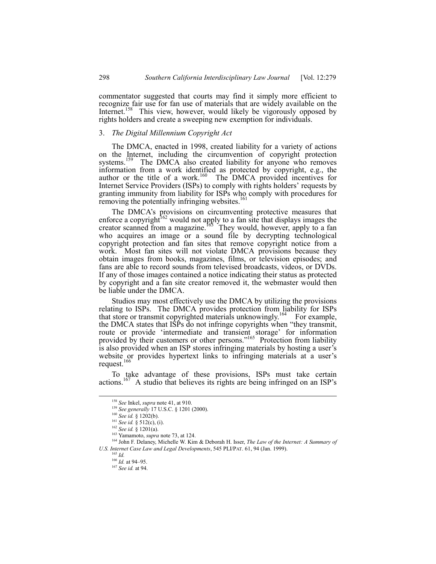commentator suggested that courts may find it simply more efficient to recognize fair use for fan use of materials that are widely available on the Internet.<sup>158</sup> This view, however, would likely be vigorously opposed by rights holders and create a sweeping new exemption for individuals.

#### 3. *The Digital Millennium Copyright Act*

The DMCA, enacted in 1998, created liability for a variety of actions on the Internet, including the circumvention of copyright protection systems.<sup>159</sup> The DMCA also created liability for anyone who removes information from a work identified as protected by copyright, e.g., the author or the title of a work.<sup>160</sup> The DMCA provided incentives for Internet Service Providers (ISPs) to comply with rights holders' requests by granting immunity from liability for ISPs who comply with procedures for removing the potentially infringing websites.<sup>161</sup>

The DMCA's provisions on circumventing protective measures that enforce a copyright<sup>162</sup> would not apply to a fan site that displays images the creator scanned from a magazine.<sup>163</sup> They would, however, apply to a fan who acquires an image or a sound file by decrypting technological copyright protection and fan sites that remove copyright notice from a work. Most fan sites will not violate DMCA provisions because they obtain images from books, magazines, films, or television episodes; and fans are able to record sounds from televised broadcasts, videos, or DVDs. If any of those images contained a notice indicating their status as protected by copyright and a fan site creator removed it, the webmaster would then be liable under the DMCA.

Studios may most effectively use the DMCA by utilizing the provisions relating to ISPs. The DMCA provides protection from liability for ISPs that store or transmit copyrighted materials unknowingly.<sup>164</sup> For example, the DMCA states that ISPs do not infringe copyrights when "they transmit, route or provide 'intermediate and transient storage' for information provided by their customers or other persons.<sup> $165$ </sup> Protection from liability is also provided when an ISP stores infringing materials by hosting a user's website or provides hypertext links to infringing materials at a user's request. $166$ 

To take advantage of these provisions, ISPs must take certain actions.<sup>167</sup> A studio that believes its rights are being infringed on an ISP's

 <sup>158</sup> *See* Inkel, *supra* note 41, at 910.

<sup>159</sup> *See generally* 17 U.S.C. ß 1201 (2000).

<sup>160</sup> *See id.* ß 1202(b).

<sup>161</sup> *See id.* ß 512(c), (i).

<sup>162</sup> *See id.* ß 1201(a).

<sup>163</sup> Yamamoto, *supra* note 73, at 124.

<sup>164</sup> John F. Delaney, Michelle W. Kim & Deborah H. Isser, *The Law of the Internet: A Summary of U.S. Internet Case Law and Legal Developments*, 545 PLI/PAT. 61, 94 (Jan. 1999).

<sup>165</sup> *Id.*

 $\frac{166}{16}$  *Id.* at 94–95.

<sup>167</sup> *See id.* at 94.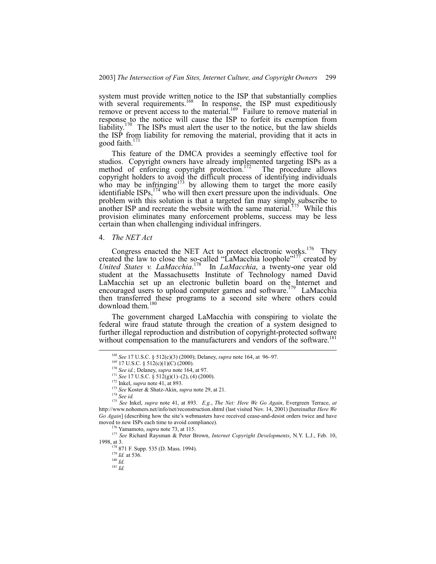system must provide written notice to the ISP that substantially complies with several requirements.<sup>168</sup> In response, the ISP must expeditiously remove or prevent access to the material.<sup>169</sup> Failure to remove material in response to the notice will cause the ISP to forfeit its exemption from liability.<sup>170</sup> The ISPs must alert the user to the notice, but the law shields the ISP from liability for removing the material, providing that it acts in good faith. $17$ 

This feature of the DMCA provides a seemingly effective tool for studios. Copyright owners have already implemented targeting ISPs as a method of enforcing copyright protection.<sup>172</sup> The procedure allows copyright holders to avoid the difficult process of identifying individuals who may be infringing<sup>173</sup> by allowing them to target the more easily identifiable  $ISPs<sub>1</sub><sup>174</sup>$  who will then exert pressure upon the individuals. One problem with this solution is that a targeted fan may simply subscribe to another ISP and recreate the website with the same material.<sup>175</sup> While this provision eliminates many enforcement problems, success may be less certain than when challenging individual infringers.

## 4. *The NET Act*

Congress enacted the NET Act to protect electronic works.<sup>176</sup> They created the law to close the so-called "LaMacchia loophole"<sup>177</sup> created by *United States v. LaMacchia*. 178 In *LaMacchia*, a twenty-one year old student at the Massachusetts Institute of Technology named David LaMacchia set up an electronic bulletin board on the Internet and encouraged users to upload computer games and software.<sup>179</sup> LaMacchia then transferred these programs to a second site where others could download them.<sup>180</sup>

The government charged LaMacchia with conspiring to violate the federal wire fraud statute through the creation of a system designed to further illegal reproduction and distribution of copyright-protected software without compensation to the manufacturers and vendors of the software.<sup>1</sup>

172 Inkel, *supra* note 41, at 893.

<sup>&</sup>lt;sup>168</sup> See 17 U.S.C. § 512(c)(3) (2000); Delaney, *supra* note 164, at 96-97.

 $169$  17 U.S.C. § 512(c)(1)(C) (2000).

<sup>170</sup> *See id.*; Delaney, *supra* note 164, at 97.

<sup>&</sup>lt;sup>171</sup> See 17 U.S.C. § 512(g)(1)–(2), (4) (2000).

<sup>173</sup> *See* Koster & Shatz-Akin, *supra* note 29, at 21.

<sup>174</sup> *See id.*

<sup>175</sup> *See* Inkel, *supra* note 41, at 893. *E.g.*, *The Net: Here We Go Again*, Evergreen Terrace, *at* http://www.nohomers.net/info/net/reconstruction.shtml (last visited Nov. 14, 2001) [hereinafter *Here We Go Again*] (describing how the site's webmasters have received cease-and-desist orders twice and have moved to new ISPs each time to avoid compliance).

<sup>&</sup>lt;sup>5</sup> Yamamoto, *supra* note 73, at 115.

<sup>177</sup> *See* Richard Raysman & Peter Brown, *Internet Copyright Developments*, N.Y. L.J., Feb. 10, 1998, at 3.

<sup>&</sup>lt;sup>178</sup> 871 F. Supp. 535 (D. Mass. 1994).

<sup>179</sup> *Id.* at 536.

<sup>180</sup> *Id.*

<sup>181</sup> *Id.*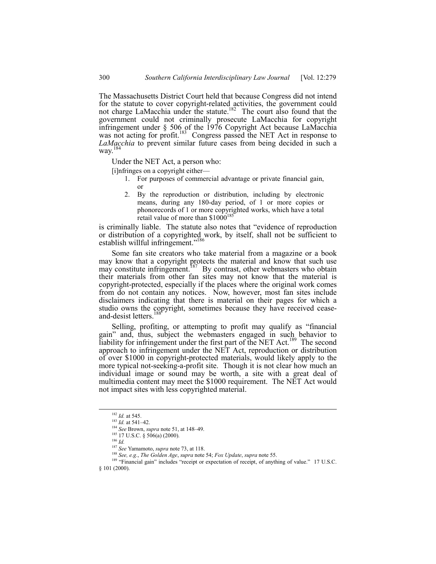The Massachusetts District Court held that because Congress did not intend for the statute to cover copyright-related activities, the government could not charge LaMacchia under the statute.<sup>182</sup> The court also found that the government could not criminally prosecute LaMacchia for copyright infringement under ß 506 of the 1976 Copyright Act because LaMacchia was not acting for profit.<sup>183</sup> Congress passed the NET Act in response to *LaMacchia* to prevent similar future cases from being decided in such a way.<sup>184</sup>

Under the NET Act, a person who:

[i]nfringes on a copyright either—

- 1. For purposes of commercial advantage or private financial gain, or
- 2. By the reproduction or distribution, including by electronic means, during any 180-day period, of 1 or more copies or phonorecords of 1 or more copyrighted works, which have a total retail value of more than  $$1000^{185}$

is criminally liable. The statute also notes that "evidence of reproduction or distribution of a copyrighted work, by itself, shall not be sufficient to establish willful infringement."<sup>186</sup>

Some fan site creators who take material from a magazine or a book may know that a copyright protects the material and know that such use may constitute infringement.<sup>187</sup> By contrast, other webmasters who obtain their materials from other fan sites may not know that the material is copyright-protected, especially if the places where the original work comes from do not contain any notices. Now, however, most fan sites include disclaimers indicating that there is material on their pages for which a studio owns the copyright, sometimes because they have received ceaseand-desist letters.<sup>188</sup>

Selling, profiting, or attempting to profit may qualify as "financial gainî and, thus, subject the webmasters engaged in such behavior to liability for infringement under the first part of the NET Act.<sup>189</sup> The second approach to infringement under the NET Act, reproduction or distribution of over \$1000 in copyright-protected materials, would likely apply to the more typical not-seeking-a-profit site. Though it is not clear how much an individual image or sound may be worth, a site with a great deal of multimedia content may meet the \$1000 requirement. The NET Act would not impact sites with less copyrighted material.

<sup>188</sup> *See, e.g.*, *The Golden Age*, *supra* note 54; *Fox Update*, *supra* note 55. <sup>189</sup> "Financial gain" includes "receipt or expectation of receipt, of anything of value." 17 U.S.C.

ß 101 (2000).

 <sup>182</sup> *Id.* at 545.

<sup>&</sup>lt;sup>183</sup> *Id.* at 541–42.

<sup>&</sup>lt;sup>184</sup> *See* Brown, *supra* note 51, at 148–49.

<sup>&</sup>lt;sup>185</sup> 17 U.S.C. § 506(a) (2000).

<sup>186</sup> *Id.*

<sup>187</sup> *See* Yamamoto, *supra* note 73, at 118.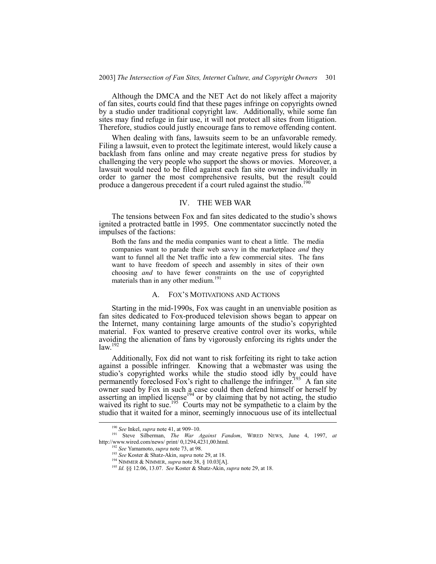Although the DMCA and the NET Act do not likely affect a majority of fan sites, courts could find that these pages infringe on copyrights owned by a studio under traditional copyright law. Additionally, while some fan sites may find refuge in fair use, it will not protect all sites from litigation. Therefore, studios could justly encourage fans to remove offending content.

When dealing with fans, lawsuits seem to be an unfavorable remedy. Filing a lawsuit, even to protect the legitimate interest, would likely cause a backlash from fans online and may create negative press for studios by challenging the very people who support the shows or movies. Moreover, a lawsuit would need to be filed against each fan site owner individually in order to garner the most comprehensive results, but the result could produce a dangerous precedent if a court ruled against the studio.<sup>1</sup>

#### IV. THE WEB WAR

The tensions between Fox and fan sites dedicated to the studio's shows ignited a protracted battle in 1995. One commentator succinctly noted the impulses of the factions:

Both the fans and the media companies want to cheat a little. The media companies want to parade their web savvy in the marketplace *and* they want to funnel all the Net traffic into a few commercial sites. The fans want to have freedom of speech and assembly in sites of their own choosing *and* to have fewer constraints on the use of copyrighted materials than in any other medium.<sup>191</sup>

#### A. FOX'S MOTIVATIONS AND ACTIONS

Starting in the mid-1990s, Fox was caught in an unenviable position as fan sites dedicated to Fox-produced television shows began to appear on the Internet, many containing large amounts of the studio's copyrighted material. Fox wanted to preserve creative control over its works, while avoiding the alienation of fans by vigorously enforcing its rights under the  $law<sup>19</sup>$ 

Additionally, Fox did not want to risk forfeiting its right to take action against a possible infringer. Knowing that a webmaster was using the studio's copyrighted works while the studio stood idly by could have permanently foreclosed Fox's right to challenge the infringer.<sup>193</sup> A fan site owner sued by Fox in such a case could then defend himself or herself by asserting an implied license<sup>194</sup> or by claiming that by not acting, the studio waived its right to sue.<sup>195</sup> Courts may not be sympathetic to a claim by the studio that it waited for a minor, seemingly innocuous use of its intellectual

<sup>&</sup>lt;sup>190</sup> See Inkel, *supra* note 41, at 909-10.

<sup>191</sup> Steve Silberman, *The War Against Fandom*, WIRED NEWS, June 4, 1997, *at* http://www.wired.com/news/ print/ 0,1294,4231,00.html.

<sup>192</sup> *See* Yamamoto, *supra* note 73, at 98.

<sup>193</sup> *See* Koster & Shatz-Akin, *supra* note 29, at 18.

<sup>194</sup> NIMMER & NIMMER, *supra* note 38, ß 10.03[A].

<sup>195</sup> *Id.* ßß 12.06, 13.07. *See* Koster & Shatz-Akin, *supra* note 29, at 18.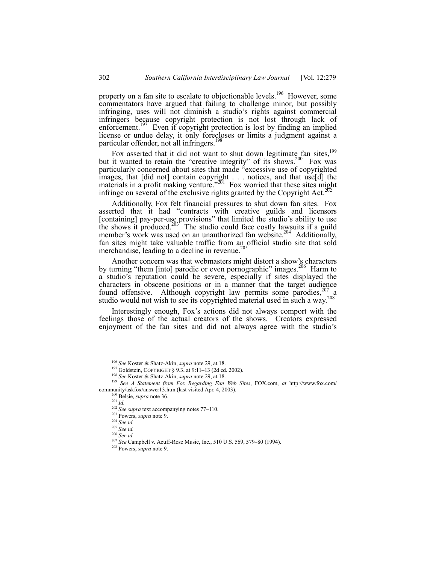property on a fan site to escalate to objectionable levels.<sup>196</sup> However, some commentators have argued that failing to challenge minor, but possibly infringing, uses will not diminish a studio's rights against commercial infringers because copyright protection is not lost through lack of enforcement.<sup>197</sup> Even if copyright protection is lost by finding an implied license or undue delay, it only forecloses or limits a judgment against a particular offender, not all infringers.<sup>198</sup>

Fox asserted that it did not want to shut down legitimate fan sites,  $199$ but it wanted to retain the "creative integrity" of its shows.<sup>200</sup> Fox was particularly concerned about sites that made "excessive use of copyrighted images, that [did not] contain copyright . . . notices, and that use[d] the materials in a profit making venture.<sup> $2\pi$ 01</sup> Fox worried that these sites might infringe on several of the exclusive rights granted by the Copyright Act.<sup>20</sup>

Additionally, Fox felt financial pressures to shut down fan sites. Fox asserted that it had "contracts with creative guilds and licensors [containing] pay-per-use provisions" that limited the studio's ability to use the shows it produced.<sup>203</sup> The studio could face costly lawsuits if a guild member's work was used on an unauthorized fan website.<sup>204</sup> Additionally, fan sites might take valuable traffic from an official studio site that sold merchandise, leading to a decline in revenue.<sup>205</sup>

Another concern was that webmasters might distort a show's characters by turning "them [into] parodic or even pornographic" images.<sup>206</sup> Harm to a studioís reputation could be severe, especially if sites displayed the characters in obscene positions or in a manner that the target audience found offensive. Although copyright law permits some parodies, $207$  a studio would not wish to see its copyrighted material used in such a way.<sup>208</sup>

Interestingly enough, Fox's actions did not always comport with the feelings those of the actual creators of the shows. Creators expressed enjoyment of the fan sites and did not always agree with the studio's

 <sup>196</sup> *See* Koster & Shatz-Akin, *supra* note 29, at 18.

<sup>&</sup>lt;sup>197</sup> Goldstein, COPYRIGHT § 9.3, at 9:11-13 (2d ed. 2002).

<sup>198</sup> *See* Koster & Shatz-Akin, *supra* note 29, at 18.

<sup>199</sup> *See A Statement from Fox Regarding Fan Web Sites*, FOX.com, *at* http://www.fox.com/ community/askfox/answer13.htm (last visited Apr. 4, 2003).

<sup>200</sup> Belsie, *supra* note 36.

<sup>201</sup> *Id.*

<sup>&</sup>lt;sup>202</sup> *See supra* text accompanying notes 77–110.

<sup>203</sup> Powers, *supra* note 9.

<sup>204</sup> *See id.*

<sup>205</sup> *See id.*

<sup>206</sup> *See id.*

<sup>&</sup>lt;sup>207</sup> See Campbell v. Acuff-Rose Music, Inc., 510 U.S. 569, 579-80 (1994).

<sup>208</sup> Powers, *supra* note 9.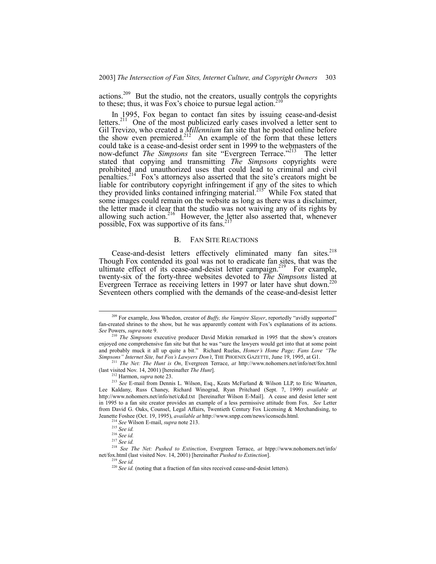actions.<sup>209</sup> But the studio, not the creators, usually controls the copyrights to these; thus, it was Fox's choice to pursue legal action.<sup>210</sup>

In 1995, Fox began to contact fan sites by issuing cease-and-desist letters.<sup>211</sup> One of the most publicized early cases involved a letter sent to Gil Trevizo, who created a *Millennium* fan site that he posted online before the show even premiered.<sup>212</sup> An example of the form that these letters could take is a cease-and-desist order sent in 1999 to the webmasters of the now-defunct *The Simpsons* fan site "Evergreen Terrace.<sup>2213</sup> The letter stated that copying and transmitting *The Simpsons* copyrights were prohibited and unauthorized uses that could lead to criminal and civil penalties.<sup>214</sup> Fox's attorneys also asserted that the site's creators might be liable for contributory copyright infringement if any of the sites to which they provided links contained infringing material.<sup>215</sup> While Fox stated that some images could remain on the website as long as there was a disclaimer, the letter made it clear that the studio was not waiving any of its rights by allowing such action.<sup>216</sup> However, the letter also asserted that, whenever possible, Fox was supportive of its fans. $^{21}$ 

#### B. FAN SITE REACTIONS

Cease-and-desist letters effectively eliminated many fan sites.<sup>218</sup> Though Fox contended its goal was not to eradicate fan sites, that was the ultimate effect of its cease-and-desist letter campaign.<sup>219</sup> For example, twenty-six of the forty-three websites devoted to *The Simpsons* listed at Evergreen Terrace as receiving letters in 1997 or later have shut down.<sup>220</sup> Seventeen others complied with the demands of the cease-and-desist letter

<sup>&</sup>lt;sup>209</sup> For example, Joss Whedon, creator of *Buffy, the Vampire Slayer*, reportedly "avidly supported" fan-created shrines to the show, but he was apparently content with Fox's explanations of its actions. *See* Powers, *supra* note 9.

<sup>&</sup>lt;sup>210</sup> *The Simpsons* executive producer David Mirkin remarked in 1995 that the show's creators enjoyed one comprehensive fan site but that he was "sure the lawyers would get into that at some point and probably muck it all up quite a bit." Richard Ruelas, *Homer's Home Page; Fans Love "The Simpsonsî Internet Site, but Foxís Lawyers Donít*, THE PHOENIX GAZETTE, June 19, 1995, at G1.

<sup>211</sup> *The Net: The Hunt is On*, Evergreen Terrace, *at* http://www.nohomers.net/info/net/fox.html (last visited Nov. 14, 2001) [hereinafter *The Hunt*].

<sup>212</sup> Harmon, *supra* note 23.

<sup>&</sup>lt;sup>213</sup> See E-mail from Dennis L. Wilson, Esq., Keats McFarland & Wilson LLP, to Eric Winarten, Lee Kaldany, Russ Chaney, Richard Winograd, Ryan Pritchard (Sept. 7, 1999) *available at* http://www.nohomers.net/info/net/c&d.txt [hereinafter Wilson E-Mail]. A cease and desist letter sent in 1995 to a fan site creator provides an example of a less permissive attitude from Fox. *See* Letter from David G. Oaks, Counsel, Legal Affairs, Twentieth Century Fox Licensing & Merchandising, to Jeanette Foshee (Oct. 19, 1995), *available at* http://www.snpp.com/news/iconscds.html.

<sup>214</sup> *See* Wilson E-mail, *supra* note 213.

<sup>215</sup> *See id.*

<sup>216</sup> *See id.*

<sup>217</sup> *See id.*

<sup>218</sup> *See The Net: Pushed to Extinction*, Evergreen Terrace, *at* htpp://www.nohomers.net/info/ net/fox.html (last visited Nov. 14, 2001) [hereinafter *Pushed to Extinction*].

<sup>219</sup> *See id.*

<sup>220</sup> *See id.* (noting that a fraction of fan sites received cease-and-desist letters).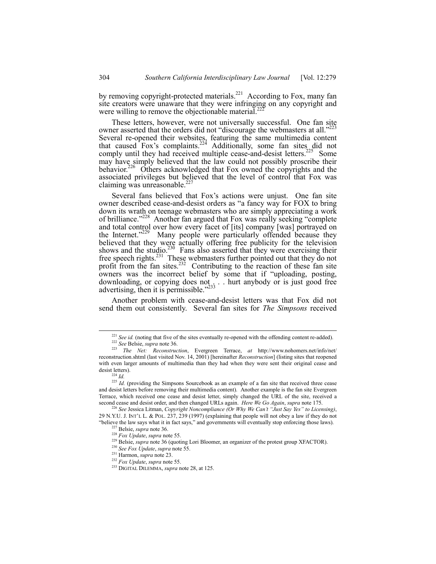by removing copyright-protected materials.<sup>221</sup> According to Fox, many fan site creators were unaware that they were infringing on any copyright and were willing to remove the objectionable material.<sup>22</sup>

These letters, however, were not universally successful. One fan site owner asserted that the orders did not "discourage the webmasters at all.<sup>222</sup> Several re-opened their websites, featuring the same multimedia content that caused Fox's complaints.<sup>224</sup> Additionally, some fan sites did not comply until they had received multiple cease-and-desist letters.<sup>225</sup> Some may have simply believed that the law could not possibly proscribe their behavior.<sup>226</sup> Others acknowledged that Fox owned the copyrights and the associated privileges but believed that the level of control that Fox was claiming was unreasonable.<sup>2</sup>

Several fans believed that Fox's actions were unjust. One fan site owner described cease-and-desist orders as "a fancy way for FOX to bring down its wrath on teenage webmasters who are simply appreciating a work of brilliance.<sup>7228</sup> Another fan argued that Fox was really seeking "complete and total control over how every facet of [its] company [was] portrayed on the Internet."<sup>229</sup> Many people were particularly offended because they Many people were particularly offended because they believed that they were actually offering free publicity for the television shows and the studio.<sup>230</sup> Fans also asserted that they were exercising their free speech rights.<sup>231</sup> These webmasters further pointed out that they do not profit from the fan sites.<sup>232</sup> Contributing to the reaction of these fan site owners was the incorrect belief by some that if "uploading, posting, downloading, or copying does not ... . hurt anybody or is just good free advertising, then it is permissible. $2^{233}$ 

Another problem with cease-and-desist letters was that Fox did not send them out consistently. Several fan sites for *The Simpsons* received

<sup>&</sup>lt;sup>221</sup> *See id.* (noting that five of the sites eventually re-opened with the offending content re-added). <sup>222</sup> *See* Belsie, *supra* note 36.

<sup>223</sup> *The Net: Reconstruction*, Evergreen Terrace, *at* http://www.nohomers.net/info/net/ reconstruction.shtml (last visited Nov. 14, 2001) [hereinafter *Reconstruction*] (listing sites that reopened with even larger amounts of multimedia than they had when they were sent their original cease and desist letters).

 $^{224}$  *Id.* 

<sup>&</sup>lt;sup>225</sup> *Id.* (providing the Simpsons Sourcebook as an example of a fan site that received three cease and desist letters before removing their multimedia content). Another example is the fan site Evergreen Terrace, which received one cease and desist letter, simply changed the URL of the site, received a second cease and desist order, and then changed URLs again. *Here We Go Again*, *supra* note 175.

<sup>&</sup>lt;sup>226</sup> See Jessica Litman, *Copyright Noncompliance (Or Why We Can't "Just Say Yes" to Licensing)*, 29 N.Y.U. J. INTíL L. & POL. 237, 239 (1997) (explaining that people will not obey a law if they do not ìbelieve the law says what it in fact says,î and governments will eventually stop enforcing those laws). Belsie, *supra* note 36.

<sup>228</sup> *Fox Update*, *supra* note 55.

<sup>229</sup> Belsie, *supra* note 36 (quoting Lori Bloomer, an organizer of the protest group XFACTOR).

<sup>230</sup> *See Fox Update*, *supra* note 55.

<sup>231</sup> Harmon, *supra* note 23.

<sup>232</sup> *Fox Update*, *supra* note 55.

<sup>233</sup> DIGITAL DILEMMA, *supra* note 28, at 125.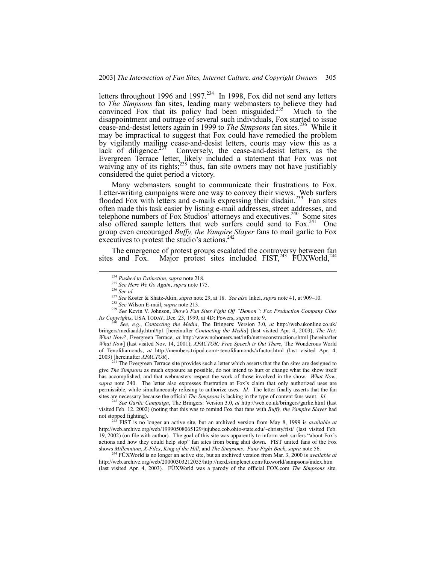letters throughout 1996 and 1997.<sup>234</sup> In 1998, Fox did not send any letters to *The Simpsons* fan sites, leading many webmasters to believe they had convinced Fox that its policy had been misguided.<sup>235</sup> Much to the disappointment and outrage of several such individuals, Fox started to issue cease-and-desist letters again in 1999 to *The Simpsons* fan sites.<sup>236</sup> While it may be impractical to suggest that Fox could have remedied the problem by vigilantly mailing cease-and-desist letters, courts may view this as a lack of diligence. $237$  Conversely, the cease-and-desist letters, as the Evergreen Terrace letter, likely included a statement that Fox was not waiving any of its rights;<sup>238</sup> thus, fan site owners may not have justifiably considered the quiet period a victory.

Many webmasters sought to communicate their frustrations to Fox. Letter-writing campaigns were one way to convey their views. Web surfers flooded Fox with letters and e-mails expressing their disdain.<sup>239</sup> Fan sites often made this task easier by listing e-mail addresses, street addresses, and telephone numbers of Fox Studios' attorneys and executives.<sup>240</sup> Some sites also offered sample letters that web surfers could send to  $F\alpha x^{241}$  One group even encouraged *Buffy, the Vampire Slayer* fans to mail garlic to Fox executives to protest the studio's actions.<sup>242</sup>

The emergence of protest groups escalated the controversy between fan sites and Fox. Major protest sites included FIST,<sup>243</sup>  $\text{FUXWorld}$ ,<sup>244</sup>

<sup>239</sup> See Kevin V. Johnson, *Show's Fan Sites Fight Off "Demon": Fox Production Company Cites Its Copyrights*, USA TODAY, Dec. 23, 1999, at 4D; Powers, *supra* note 9.

<sup>240</sup> *See, e.g.*, *Contacting the Media*, The Bringers: Version 3.0, *at* http://web.ukonline.co.uk/ bringers/mediaaddy.html#p1 [hereinafter *Contacting the Media*] (last visited Apr. 4, 2003); *The Net: What Now?*, Evergreen Terrace, *at* http://www.nohomers.net/info/net/reconstruction.shtml [hereinafter *What Now*] (last visited Nov. 14, 2001); *XFACTOR: Free Speech is Out There*, The Wonderous World of Tenofdiamonds, *at* http://members.tripod.com/~tenofdiamonds/xfactor.html (last visited Apr. 4, 2003) [hereinafter *XFACTOR*].

 $2^{241}$  The Evergreen Terrace site provides such a letter which asserts that the fan sites are designed to give *The Simpsons* as much exposure as possible, do not intend to hurt or change what the show itself has accomplished, and that webmasters respect the work of those involved in the show. *What Now*, supra note 240. The letter also expresses frustration at Fox's claim that only authorized uses are permissible, while simultaneously refusing to authorize uses. *Id.* The letter finally asserts that the fan sites are necessary because the official *The Simpsons* is lacking in the type of content fans want. *Id.*

<sup>242</sup> *See Garlic Campaign*, The Bringers: Version 3.0, *at* http://web.co.uk/bringers/garlic.html (last visited Feb. 12, 2002) (noting that this was to remind Fox that fans with *Buffy, the Vampire Slayer* had not stopped fighting).

<sup>3</sup> FIST is no longer an active site, but an archived version from May 8, 1999 is *available at* http://web.archive.org/web/19990508065129/jujubee.cob.ohio-state.edu/~christy/fist/ (last visited Feb. 19, 2002) (on file with author). The goal of this site was apparently to inform web surfers "about Fox's actions and how they could help stop" fan sites from being shut down. FIST united fans of the Fox shows *Millennium*, *X-Files*, *King of the Hill*, and *The Simpsons*. *Fans Fight Back*, *supra* note 56.

<sup>244</sup> FÜXWorld is no longer an active site, but an archived version from Mar. 3, 2000 is *available at* http://web.archive.org/web/20000303212055/http://nerd.simplenet.com/fuxworld/sampsons/index.htm (last visited Apr. 4, 2003). FUXWorld was a parody of the official FOX.com *The Simpsons* site.

 <sup>234</sup> *Pushed to Extinction*, *supra* note 218.

<sup>235</sup> *See Here We Go Again*, *supra* note 175.

<sup>236</sup> *See id.*

<sup>&</sup>lt;sup>237</sup> See Koster & Shatz-Akin, *supra* note 29, at 18. *See also* Inkel, *supra* note 41, at 909–10.

<sup>238</sup> *See* Wilson E-mail, *supra* note 213.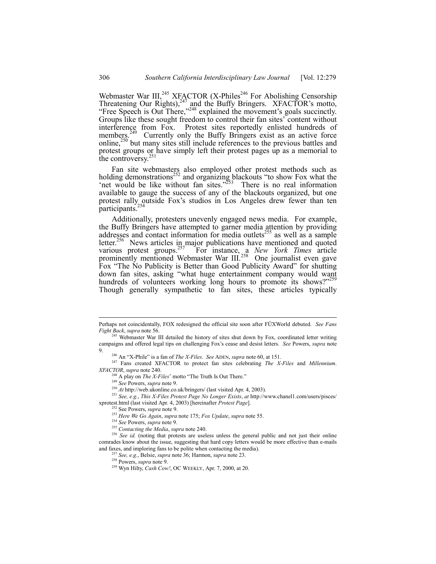Webmaster War III,<sup>245</sup> XFACTOR (X-Philes<sup>246</sup> For Abolishing Censorship Threatening Our Rights), $247$  and the Buffy Bringers. XFACTOR's motto, "Free Speech is Out There,"<sup>248</sup> explained the movement's goals succinctly. Groups like these sought freedom to control their fan sites' content without interference from Fox. Protest sites reportedly enlisted hundreds of members.<sup>249</sup> Currently only the Buffy Bringers exist as an active force online, $^{250}$  but many sites still include references to the previous battles and protest groups or have simply left their protest pages up as a memorial to the controversy. $2$ 

Fan site webmasters also employed other protest methods such as holding demonstrations<sup>252</sup> and organizing blackouts "to show Fox what the 'net would be like without fan sites.<sup>3253</sup> There is no real information available to gauge the success of any of the blackouts organized, but one protest rally outside Fox's studios in Los Angeles drew fewer than ten participants.<sup>4</sup>

Additionally, protesters unevenly engaged news media. For example, the Buffy Bringers have attempted to garner media attention by providing addresses and contact information for media outlets<sup>255</sup> as well as a sample letter.<sup>256</sup> News articles in major publications have mentioned and quoted various protest groups.257 For instance, a *New York Times* article prominently mentioned Webmaster War III.<sup>258</sup> One journalist even gave Fox "The No Publicity is Better than Good Publicity Award" for shutting down fan sites, asking "what huge entertainment company would want hundreds of volunteers working long hours to promote its shows?"259 Though generally sympathetic to fan sites, these articles typically

Perhaps not coincidentally, FOX redesigned the official site soon after FUXWorld debuted. See Fans *Fight Back*, *supra* note 56.

<sup>&</sup>lt;sup>245</sup> Webmaster War III detailed the history of sites shut down by Fox, coordinated letter writing campaigns and offered legal tips on challenging Fox's cease and desist letters. *See* Powers, *supra* note 9.

<sup>&</sup>lt;sup>246</sup> An "X-Phile" is a fan of *The X-Files. See* ADEN, *supra* note 60, at 151.

<sup>247</sup> Fans created XFACTOR to protect fan sites celebrating *The X-Files* and *Millennium*. *XFACTOR*, *supra* note 240.

 $^{248}$  A play on *The X-Files*' motto "The Truth Is Out There."

<sup>249</sup> *See* Powers, *supra* note 9.

<sup>250</sup> *At* http://web.ukonline.co.uk/bringers/ (last visited Apr. 4, 2003).

<sup>251</sup> *See, e.g.*, *This X-Files Protest Page No Longer Exists*, *at* http://www.chanel1.com/users/pisces/ xprotest.html (last visited Apr. 4, 2003) [hereinafter *Protest Page*].

<sup>252</sup> See Powers, *supra* note 9.

<sup>253</sup> *Here We Go Again*, *supra* note 175; *Fox Update*, *supra* note 55.

<sup>254</sup> *See* Powers, *supra* note 9.

<sup>255</sup> *Contacting the Media*, *supra* note 240.

<sup>&</sup>lt;sup>256</sup> See id. (noting that protests are useless unless the general public and not just their online comrades know about the issue, suggesting that hard copy letters would be more effective than e-mails and faxes, and imploring fans to be polite when contacting the media).

<sup>257</sup> *See, e.g.*, Belsie, *supra* note 36; Harmon, *supra* note 23.

<sup>258</sup> Powers, *supra* note 9.

<sup>259</sup> Wyn Hilty, *Cash Cow!*, OC WEEKLY, Apr. 7, 2000, at 20.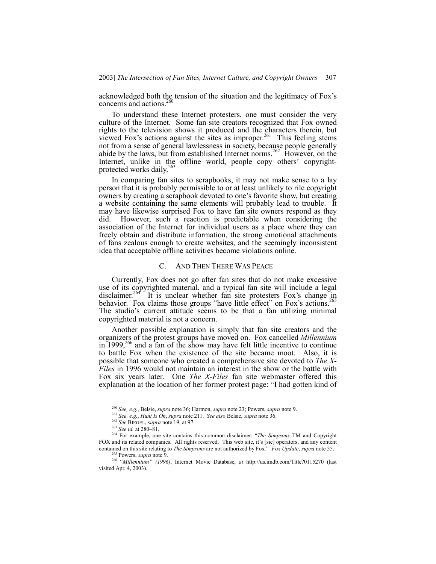acknowledged both the tension of the situation and the legitimacy of Fox's concerns and actions. $<sup>2</sup>$ </sup>

To understand these Internet protesters, one must consider the very culture of the Internet. Some fan site creators recognized that Fox owned rights to the television shows it produced and the characters therein, but viewed Fox's actions against the sites as improper.<sup>261</sup> This feeling stems not from a sense of general lawlessness in society, because people generally abide by the laws, but from established Internet norms.<sup>262</sup> However, on the Internet, unlike in the offline world, people copy others' copyrightprotected works daily.<sup>263</sup>

In comparing fan sites to scrapbooks, it may not make sense to a lay person that it is probably permissible to or at least unlikely to rile copyright owners by creating a scrapbook devoted to one's favorite show, but creating a website containing the same elements will probably lead to trouble. It may have likewise surprised Fox to have fan site owners respond as they did. However, such a reaction is predictable when considering the However, such a reaction is predictable when considering the association of the Internet for individual users as a place where they can freely obtain and distribute information, the strong emotional attachments of fans zealous enough to create websites, and the seemingly inconsistent idea that acceptable offline activities become violations online.

## C. AND THEN THERE WAS PEACE

Currently, Fox does not go after fan sites that do not make excessive use of its copyrighted material, and a typical fan site will include a legal disclaimer.<sup>264</sup> It is unclear whether fan site protesters Fox's change in behavior. Fox claims those groups "have little effect" on Fox's actions.<sup>265</sup> The studio's current attitude seems to be that a fan utilizing minimal copyrighted material is not a concern.

Another possible explanation is simply that fan site creators and the organizers of the protest groups have moved on. Fox cancelled *Millennium* in 1999,<sup>266</sup> and a fan of the show may have felt little incentive to continue to battle Fox when the existence of the site became moot. Also, it is possible that someone who created a comprehensive site devoted to *The X-Files* in 1996 would not maintain an interest in the show or the battle with Fox six years later. One *The X-Files* fan site webmaster offered this explanation at the location of her former protest page: "I had gotten kind of

 <sup>260</sup> *See, e.g.*, Belsie, *supra* note 36; Harmon, *supra* note 23; Powers, *supra* note 9.

<sup>261</sup> *See, e.g.*, *Hunt Is On*, *supra* note 211. *See also* Belsie, *supra* note 36.

<sup>262</sup> *See* BIEGEL, *supra* note 19, at 97.

<sup>&</sup>lt;sup>263</sup> *See id.* at 280–81.

<sup>&</sup>lt;sup>264</sup> For example, one site contains this common disclaimer: *"The Simpsons* TM and Copyright FOX and its related companies. All rights reserved. This web site, it's [sic] operators, and any content contained on this site relating to *The Simpsons* are not authorized by Fox.î *Fox Update*, *supra* note 55.

Powers, *supra* note 9.

<sup>&</sup>lt;sup>266</sup> "Millennium" (1996), Internet Movie Database, *at* http://us.imdb.com/Title?0115270 (last visited Apr. 4, 2003).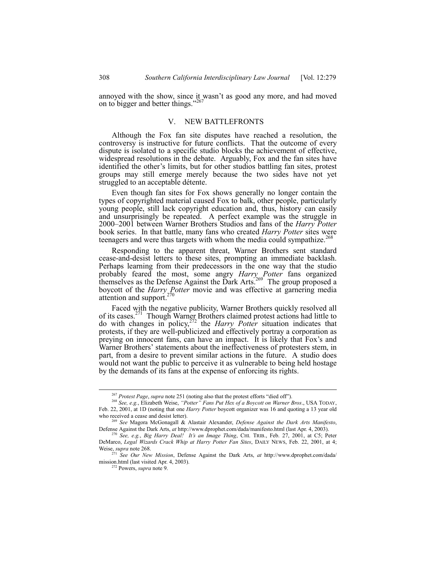annoyed with the show, since it wasn't as good any more, and had moved on to bigger and better things."26

## V. NEW BATTLEFRONTS

Although the Fox fan site disputes have reached a resolution, the controversy is instructive for future conflicts. That the outcome of every dispute is isolated to a specific studio blocks the achievement of effective, widespread resolutions in the debate. Arguably, Fox and the fan sites have identified the other's limits, but for other studios battling fan sites, protest groups may still emerge merely because the two sides have not yet struggled to an acceptable détente.

Even though fan sites for Fox shows generally no longer contain the types of copyrighted material caused Fox to balk, other people, particularly young people, still lack copyright education and, thus, history can easily and unsurprisingly be repeated. A perfect example was the struggle in 2000–2001 between Warner Brothers Studios and fans of the *Harry Potter* book series. In that battle, many fans who created *Harry Potter* sites were teenagers and were thus targets with whom the media could sympathize.<sup>26</sup>

Responding to the apparent threat, Warner Brothers sent standard cease-and-desist letters to these sites, prompting an immediate backlash. Perhaps learning from their predecessors in the one way that the studio probably feared the most, some angry *Harry Potter* fans organized themselves as the Defense Against the Dark Arts.<sup>269</sup> The group proposed a boycott of the *Harry Potter* movie and was effective at garnering media attention and support.<sup>270</sup>

Faced with the negative publicity, Warner Brothers quickly resolved all of its cases.<sup>271</sup> Though Warner Brothers claimed protest actions had little to do with changes in policy,272 the *Harry Potter* situation indicates that protests, if they are well-publicized and effectively portray a corporation as preying on innocent fans, can have an impact. It is likely that Fox's and Warner Brothers' statements about the ineffectiveness of protesters stem, in part, from a desire to prevent similar actions in the future. A studio does would not want the public to perceive it as vulnerable to being held hostage by the demands of its fans at the expense of enforcing its rights.

<sup>&</sup>lt;sup>267</sup> Protest Page, supra note 251 (noting also that the protest efforts "died off").

<sup>268</sup> *See, e.g.*, Elizabeth Weise, *ìPotterî Fans Put Hex of a Boycott on Warner Bros*., USA TODAY, Feb. 22, 2001, at 1D (noting that one *Harry Potter* boycott organizer was 16 and quoting a 13 year old who received a cease and desist letter).

<sup>269</sup> *See* Magora McGonagall & Alastair Alexander, *Defense Against the Dark Arts Manifesto*, Defense Against the Dark Arts, *at* http://www.dprophet.com/dada/manifesto.html (last Apr. 4, 2003).

<sup>270</sup> *See, e.g.*, *Big Harry Deal! Itís an Image Thing*, CHI. TRIB., Feb. 27, 2001, at C5; Peter DeMarco, *Legal Wizards Crack Whip at Harry Potter Fan Sites*, DAILY NEWS, Feb. 22, 2001, at 4; Weise, *supra* note 268.

<sup>271</sup> *See Our New Mission*, Defense Against the Dark Arts, *at* http://www.dprophet.com/dada/ mission.html (last visited Apr. 4, 2003).

<sup>272</sup> Powers, *supra* note 9.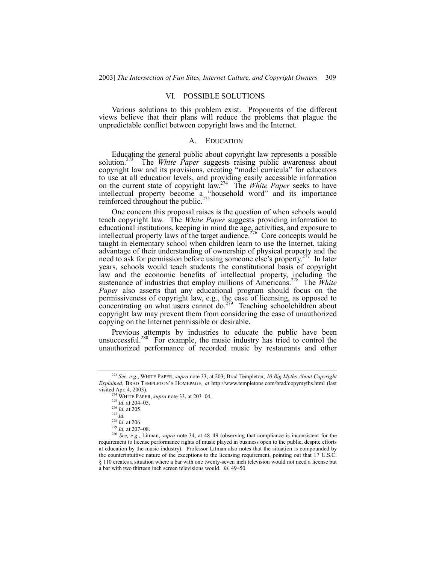## VI. POSSIBLE SOLUTIONS

Various solutions to this problem exist. Proponents of the different views believe that their plans will reduce the problems that plague the unpredictable conflict between copyright laws and the Internet.

#### **EDUCATION**

Educating the general public about copyright law represents a possible solution.<sup>273</sup> The *White Paper* suggests raising public awareness about The *White Paper* suggests raising public awareness about copyright law and its provisions, creating "model curricula" for educators to use at all education levels, and providing easily accessible information on the current state of copyright law.274 The *White Paper* seeks to have intellectual property become a "household word" and its importance reinforced throughout the public. $275$ 

One concern this proposal raises is the question of when schools would teach copyright law. The *White Paper* suggests providing information to educational institutions, keeping in mind the age, activities, and exposure to intellectual property laws of the target audience.<sup>276</sup> Core concepts would be taught in elementary school when children learn to use the Internet, taking advantage of their understanding of ownership of physical property and the need to ask for permission before using someone else's property.<sup>277</sup> In later years, schools would teach students the constitutional basis of copyright law and the economic benefits of intellectual property, including the sustenance of industries that employ millions of Americans.<sup>278</sup> The *White Paper* also asserts that any educational program should focus on the permissiveness of copyright law, e.g., the ease of licensing, as opposed to concentrating on what users cannot do.<sup>279</sup> Teaching schoolchildren about copyright law may prevent them from considering the ease of unauthorized copying on the Internet permissible or desirable.

Previous attempts by industries to educate the public have been unsuccessful.<sup>280</sup> For example, the music industry has tried to control the unauthorized performance of recorded music by restaurants and other

 <sup>273</sup> *See, e.g.*, WHITE PAPER, *supra* note 33, at 203; Brad Templeton, *10 Big Myths About Copyright* Explained, BRAD TEMPLETON'S HOMEPAGE, *at* http://www.templetons.com/brad/copymyths.html (last visited Apr. 4, 2003).

 $274$  WHITE PAPER, *supra* note 33, at 203–04.

 $^{275}$  *Id.* at 204–05.

<sup>276</sup> *Id.* at 205.

<sup>277</sup> *Id.*

<sup>278</sup> *Id.* at 206.

<sup>&</sup>lt;sup>279</sup> *Id.* at 207–08.

<sup>&</sup>lt;sup>280</sup> *See, e.g.*, Litman, *supra* note 34, at 48–49 (observing that compliance is inconsistent for the requirement to license performance rights of music played in business open to the public, despite efforts at education by the music industry). Professor Litman also notes that the situation is compounded by the counterintuitive nature of the exceptions to the licensing requirement, pointing out that 17 U.S.C. ß 110 creates a situation where a bar with one twenty-seven inch television would not need a license but a bar with two thirteen inch screen televisions would. *Id.* 49–50.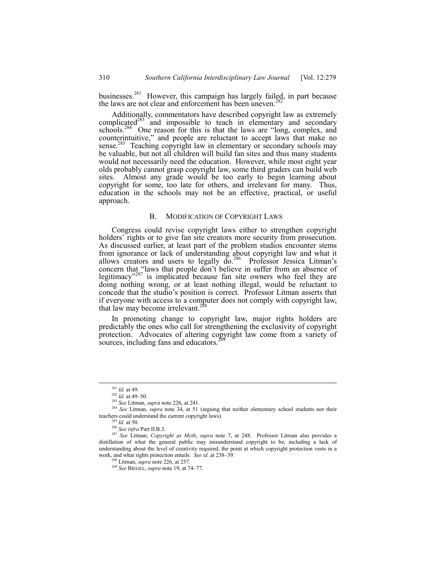businesses.<sup>281</sup> However, this campaign has largely failed, in part because the laws are not clear and enforcement has been uneven.<sup>2</sup>

Additionally, commentators have described copyright law as extremely complicated<sup>283</sup> and impossible to teach in elementary and secondary schools. $284$  One reason for this is that the laws are "long, complex, and counterintuitive," and people are reluctant to accept laws that make no sense.<sup>285</sup> Teaching copyright law in elementary or secondary schools may be valuable, but not all children will build fan sites and thus many students would not necessarily need the education. However, while most eight year olds probably cannot grasp copyright law, some third graders can build web sites. Almost any grade would be too early to begin learning about copyright for some, too late for others, and irrelevant for many. Thus, education in the schools may not be an effective, practical, or useful approach.

## B. MODIFICATION OF COPYRIGHT LAWS

Congress could revise copyright laws either to strengthen copyright holders' rights or to give fan site creators more security from prosecution. As discussed earlier, at least part of the problem studios encounter stems from ignorance or lack of understanding about copyright law and what it allows creators and users to legally  $\overline{do}^{286}$  Professor Jessica Litman's concern that "laws that people don't believe in suffer from an absence of legitimacy<sup> $287$ </sup> is implicated because fan site owners who feel they are doing nothing wrong, or at least nothing illegal, would be reluctant to concede that the studio's position is correct. Professor Litman asserts that if everyone with access to a computer does not comply with copyright law, that law may become irrelevant.<sup>28</sup>

In promoting change to copyright law, major rights holders are predictably the ones who call for strengthening the exclusivity of copyright protection. Advocates of altering copyright law come from a variety of sources, including fans and educators.<sup>2</sup>

 <sup>281</sup> *Id.* at 49.

 $^{282}$  *Id.* at 49–50.

<sup>283</sup> *See* Litman, *supra* note 226, at 241.

<sup>&</sup>lt;sup>284</sup> *See* Litman, *supra* note 34, at 51 (arguing that neither elementary school students nor their teachers could understand the current copyright laws).

<sup>285</sup> *Id.* at 50.

<sup>286</sup> *See infra* Part II.B.3.

<sup>287</sup> *See* Litman, *Copyright as Myth*, *supra* note 7, at 248. Professor Litman also provides a distillation of what the general public may misunderstand copyright to be, including a lack of understanding about the level of creativity required, the point at which copyright protection vests in a work, and what rights protection entails. *See id.* at 238–39.

<sup>288</sup> Litman, *supra* note 226, at 237.

<sup>&</sup>lt;sup>289</sup> See BIEGEL, *supra* note 19, at 74-77.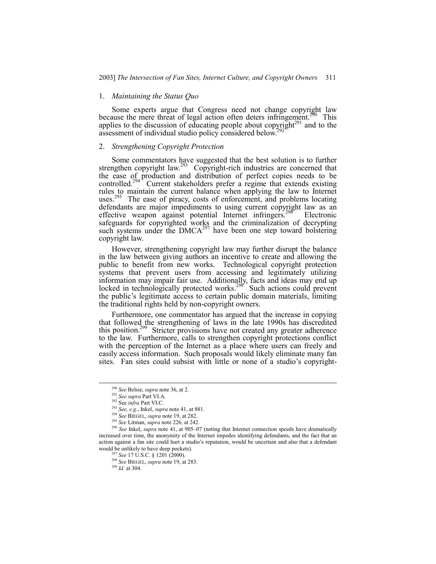#### 1. *Maintaining the Status Quo*

Some experts argue that Congress need not change copyright law because the mere threat of legal action often deters infringement.<sup> $290$ </sup> This applies to the discussion of educating people about copyright $291$  and to the assessment of individual studio policy considered below.<sup>2</sup>

#### 2. *Strengthening Copyright Protection*

Some commentators have suggested that the best solution is to further strengthen copyright law.<sup>293</sup> Copyright-rich industries are concerned that the ease of production and distribution of perfect copies needs to be controlled.<sup>294</sup> Current stakeholders prefer a regime that extends existing rules to maintain the current balance when applying the law to Internet uses.<sup>295</sup> The ease of piracy, costs of enforcement, and problems locating defendants are major impediments to using current copyright law as an effective weapon against potential Internet infringers.<sup>296</sup> Electronic effective weapon against potential Internet infringers.<sup>2</sup> safeguards for copyrighted works and the criminalization of decrypting such systems under the  $DMCA^{297}$  have been one step toward bolstering copyright law.

However, strengthening copyright law may further disrupt the balance in the law between giving authors an incentive to create and allowing the public to benefit from new works. Technological copyright protection systems that prevent users from accessing and legitimately utilizing information may impair fair use. Additionally, facts and ideas may end up locked in technologically protected works.<sup>298</sup> Such actions could prevent the public's legitimate access to certain public domain materials, limiting the traditional rights held by non-copyright owners.

Furthermore, one commentator has argued that the increase in copying that followed the strengthening of laws in the late 1990s has discredited this position.<sup>299</sup> Stricter provisions have not created any greater adherence to the law. Furthermore, calls to strengthen copyright protections conflict with the perception of the Internet as a place where users can freely and easily access information. Such proposals would likely eliminate many fan sites. Fan sites could subsist with little or none of a studio's copyright-

 <sup>290</sup> *See* Belsie, *supra* note 36, at 2.

<sup>291</sup> *See supra* Part VI.A.

<sup>292</sup> See *infra* Part VI.C.

<sup>293</sup> *See, e.g.*, Inkel, *supra* note 41, at 881.

<sup>294</sup> *See* BIEGEL, *supra* note 19, at 282.

<sup>295</sup> *See* Litman, *supra* note 226, at 242.

<sup>&</sup>lt;sup>296</sup> See Inkel, *supra* note 41, at 905–07 (noting that Internet connection speeds have dramatically increased over time, the anonymity of the Internet impedes identifying defendants, and the fact that an action against a fan site could hurt a studio's reputation, would be uncertain and also that a defendant would be unlikely to have deep pockets).

<sup>&</sup>lt;sup>'</sup> See 17 U.S.C. § 1201 (2000).

<sup>298</sup> *See* BIEGEL, *supra* note 19, at 283.

<sup>299</sup> *Id.* at 304.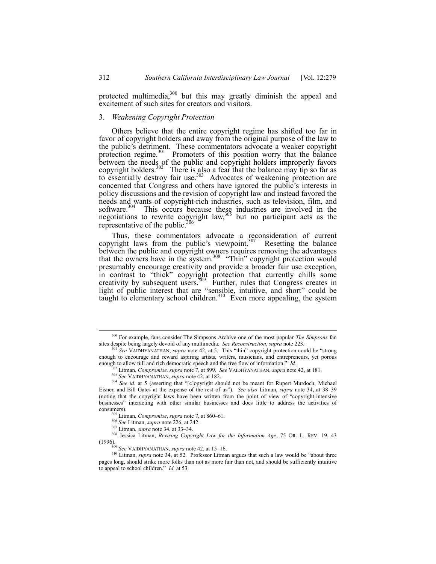protected multimedia,<sup>300</sup> but this may greatly diminish the appeal and excitement of such sites for creators and visitors.

## 3. *Weakening Copyright Protection*

Others believe that the entire copyright regime has shifted too far in favor of copyright holders and away from the original purpose of the law to the public's detriment. These commentators advocate a weaker copyright protection regime.<sup>301</sup> Promoters of this position worry that the balance between the needs of the public and copyright holders improperly favors copyright holders.<sup>302</sup> There is also a fear that the balance may tip so far as to essentially destroy fair use.<sup>303</sup> Advocates of weakening protection are concerned that Congress and others have ignored the public's interests in policy discussions and the revision of copyright law and instead favored the needs and wants of copyright-rich industries, such as television, film, and software. $304$  This occurs because these industries are involved in the negotiations to rewrite copyright law,  $305$  but no participant acts as the representative of the public.

Thus, these commentators advocate a reconsideration of current copyright laws from the public's viewpoint. $307$  Resetting the balance between the public and copyright owners requires removing the advantages that the owners have in the system.<sup>308</sup> "Thin" copyright protection would presumably encourage creativity and provide a broader fair use exception, in contrast to "thick" copyright protection that currently chills some creativity by subsequent users.<sup>309</sup> Further, rules that Congress creates in light of public interest that are "sensible, intuitive, and short" could be taught to elementary school children.<sup>310</sup> Even more appealing, the system

 <sup>300</sup> For example, fans consider The Simpsons Archive one of the most popular *The Simpsons* fan sites despite being largely devoid of any multimedia. *See Reconstruction*, *supra* note 223.

See VAIDHYANATHAN, *supra* note 42, at 5. This "thin" copyright protection could be "strong" enough to encourage and reward aspiring artists, writers, musicians, and entrepreneurs, yet porous enough to allow full and rich democratic speech and the free flow of information.<sup>"</sup> *Id.* 

<sup>302</sup> Litman, *Compromise, supra* note 7, at 899. *See* VAIDHYANATHAN, *supra* note 42, at 181.

<sup>303</sup> *See* VAIDHYANATHAN, *supra* note 42, at 182.

<sup>&</sup>lt;sup>304</sup> See id. at 5 (asserting that "[c]opyright should not be meant for Rupert Murdoch, Michael Eisner, and Bill Gates at the expense of the rest of us<sup>n</sup>). *See also* Litman, *supra* note 34, at 38–39 (noting that the copyright laws have been written from the point of view of "copyright-intensive businessesî interacting with other similar businesses and does little to address the activities of consumers).

<sup>&</sup>lt;sup>305</sup> Litman, *Compromise*, *supra* note 7, at 860–61.

<sup>306</sup> *See* Litman, *supra* note 226, at 242.

<sup>&</sup>lt;sup>307</sup> Litman, *supra* note 34, at 33–34.

<sup>308</sup> Jessica Litman, *Revising Copyright Law for the Information Age*, 75 OR. L. REV. 19, 43 (1996).

<sup>&</sup>lt;sup>309</sup> *See* VAIDHYANATHAN, *supra* note 42, at 15–16.

<sup>&</sup>lt;sup>310</sup> Litman, *supra* note 34, at 52. Professor Litman argues that such a law would be "about three pages long, should strike more folks than not as more fair than not, and should be sufficiently intuitive to appeal to school children.<sup>"</sup> *Id.* at 53.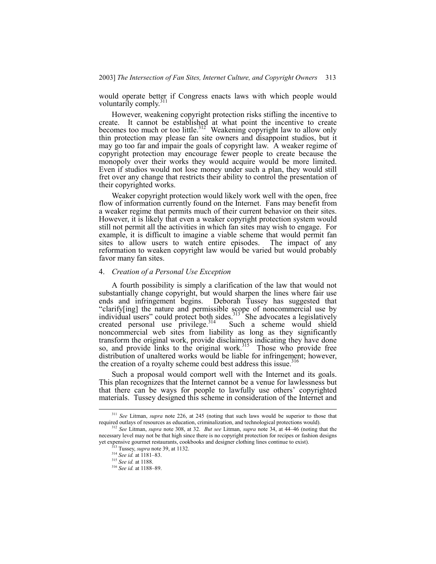would operate better if Congress enacts laws with which people would voluntarily comply. $3$ 

However, weakening copyright protection risks stifling the incentive to create. It cannot be established at what point the incentive to create becomes too much or too little.<sup>312</sup> Weakening copyright law to allow only thin protection may please fan site owners and disappoint studios, but it may go too far and impair the goals of copyright law. A weaker regime of copyright protection may encourage fewer people to create because the monopoly over their works they would acquire would be more limited. Even if studios would not lose money under such a plan, they would still fret over any change that restricts their ability to control the presentation of their copyrighted works.

Weaker copyright protection would likely work well with the open, free flow of information currently found on the Internet. Fans may benefit from a weaker regime that permits much of their current behavior on their sites. However, it is likely that even a weaker copyright protection system would still not permit all the activities in which fan sites may wish to engage. For example, it is difficult to imagine a viable scheme that would permit fan sites to allow users to watch entire episodes. The impact of any reformation to weaken copyright law would be varied but would probably favor many fan sites.

#### 4. *Creation of a Personal Use Exception*

A fourth possibility is simply a clarification of the law that would not substantially change copyright, but would sharpen the lines where fair use ends and infringement begins. Deborah Tussey has suggested that ìclarify[ing] the nature and permissible scope of noncommercial use by individual users" could protect both sides. $313$  She advocates a legislatively created personal use privilege.<sup>314</sup> Such a scheme would shield noncommercial web sites from liability as long as they significantly transform the original work, provide disclaimers indicating they have done so, and provide links to the original work. $315$  Those who provide free distribution of unaltered works would be liable for infringement; however, the creation of a royalty scheme could best address this issue.<sup>316</sup>

Such a proposal would comport well with the Internet and its goals. This plan recognizes that the Internet cannot be a venue for lawlessness but that there can be ways for people to lawfully use others' copyrighted materials. Tussey designed this scheme in consideration of the Internet and

 <sup>311</sup> *See* Litman, *supra* note 226, at 245 (noting that such laws would be superior to those that required outlays of resources as education, criminalization, and technological protections would).

See Litman, *supra* note 308, at 32. *But see* Litman, *supra* note 34, at 44–46 (noting that the necessary level may not be that high since there is no copyright protection for recipes or fashion designs yet expensive gourmet restaurants, cookbooks and designer clothing lines continue to exist).

<sup>&</sup>lt;sup>3</sup> Tussey, *supra* note 39, at 1132.

<sup>&</sup>lt;sup>314</sup> *See id.* at 1181–83.

<sup>315</sup> *See id.* at 1188.

<sup>&</sup>lt;sup>316</sup> See id. at 1188-89.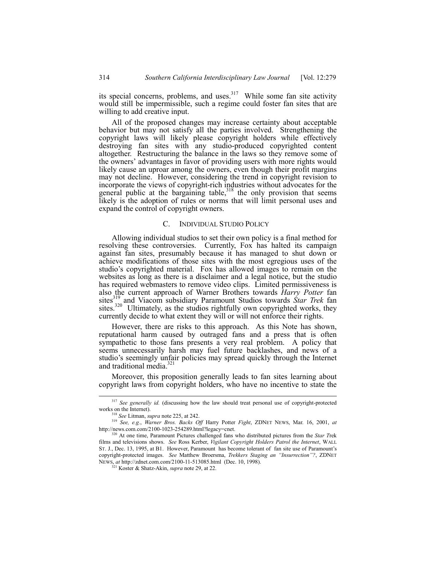its special concerns, problems, and uses.<sup>317</sup> While some fan site activity would still be impermissible, such a regime could foster fan sites that are willing to add creative input.

All of the proposed changes may increase certainty about acceptable behavior but may not satisfy all the parties involved. Strengthening the copyright laws will likely please copyright holders while effectively destroying fan sites with any studio-produced copyrighted content altogether. Restructuring the balance in the laws so they remove some of the ownersí advantages in favor of providing users with more rights would likely cause an uproar among the owners, even though their profit margins may not decline. However, considering the trend in copyright revision to incorporate the views of copyright-rich industries without advocates for the general public at the bargaining table,  $318$  the only provision that seems likely is the adoption of rules or norms that will limit personal uses and expand the control of copyright owners.

## C. INDIVIDUAL STUDIO POLICY

Allowing individual studios to set their own policy is a final method for resolving these controversies. Currently, Fox has halted its campaign against fan sites, presumably because it has managed to shut down or achieve modifications of those sites with the most egregious uses of the studio's copyrighted material. Fox has allowed images to remain on the websites as long as there is a disclaimer and a legal notice, but the studio has required webmasters to remove video clips. Limited permissiveness is also the current approach of Warner Brothers towards *Harry Potter* fan sites<sup>319</sup> and Viacom subsidiary Paramount Studios towards *Star Trek* fan sites.<sup>320</sup> Ultimately, as the studios rightfully own copyrighted works, they currently decide to what extent they will or will not enforce their rights.

However, there are risks to this approach. As this Note has shown, reputational harm caused by outraged fans and a press that is often sympathetic to those fans presents a very real problem. A policy that seems unnecessarily harsh may fuel future backlashes, and news of a studio's seemingly unfair policies may spread quickly through the Internet and traditional media.<sup>32</sup>

Moreover, this proposition generally leads to fan sites learning about copyright laws from copyright holders, who have no incentive to state the

<sup>&</sup>lt;sup>317</sup> See generally id. (discussing how the law should treat personal use of copyright-protected works on the Internet).

<sup>318</sup> *See* Litman, *supra* note 225, at 242.

<sup>319</sup> *See, e.g.*, *Warner Bros. Backs Off* Harry Potter *Fight*, ZDNET NEWS, Mar. 16, 2001, *at* http://news.com.com/2100-1023-254289.html?legacy=cnet.

<sup>320</sup> At one time, Paramount Pictures challenged fans who distributed pictures from the *Star T*rek films and televisions shows. *See* Ross Kerber, *Vigilant Copyright Holders Patrol the Internet*, WALL ST. J., Dec. 13, 1995, at B1. However, Paramount has become tolerant of fan site use of Paramountís copyright-protected images. *See* Matthew Broersma, *Trekkers Staging an "Insurrection"?*, ZDNET NEWS, *at* http://zdnet.com.com/2100-11-513085.html (Dec. 10, 1998).

<sup>321</sup> Koster & Shatz-Akin, *supra* note 29, at 22.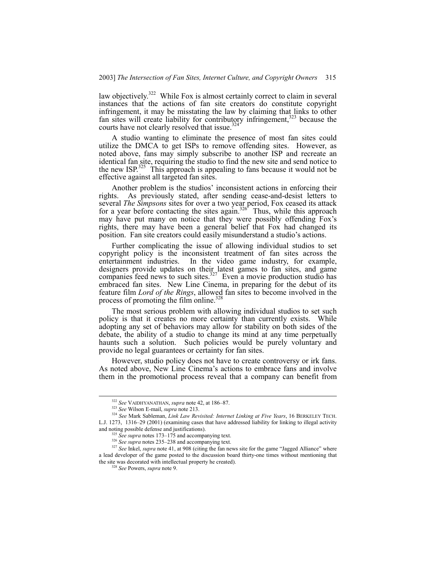law objectively.<sup>322</sup> While Fox is almost certainly correct to claim in several instances that the actions of fan site creators do constitute copyright infringement, it may be misstating the law by claiming that links to other fan sites will create liability for contributory infringement,<sup>323</sup> because the courts have not clearly resolved that issue.<sup>32</sup>

A studio wanting to eliminate the presence of most fan sites could utilize the DMCA to get ISPs to remove offending sites. However, as noted above, fans may simply subscribe to another ISP and recreate an identical fan site, requiring the studio to find the new site and send notice to the new ISP.<sup>325</sup> This approach is appealing to fans because it would not be effective against all targeted fan sites.

Another problem is the studios' inconsistent actions in enforcing their rights. As previously stated, after sending cease-and-desist letters to several *The Simpsons* sites for over a two year period, Fox ceased its attack for a year before contacting the sites again.<sup>326</sup> Thus, while this approach may have put many on notice that they were possibly offending Fox's rights, there may have been a general belief that Fox had changed its position. Fan site creators could easily misunderstand a studio's actions.

Further complicating the issue of allowing individual studios to set copyright policy is the inconsistent treatment of fan sites across the entertainment industries. In the video game industry, for example, designers provide updates on their latest games to fan sites, and game companies feed news to such sites. $327$  Even a movie production studio has embraced fan sites. New Line Cinema, in preparing for the debut of its feature film *Lord of the Rings*, allowed fan sites to become involved in the process of promoting the film online.<sup>32</sup>

The most serious problem with allowing individual studios to set such policy is that it creates no more certainty than currently exists. While adopting any set of behaviors may allow for stability on both sides of the debate, the ability of a studio to change its mind at any time perpetually haunts such a solution. Such policies would be purely voluntary and provide no legal guarantees or certainty for fan sites.

However, studio policy does not have to create controversy or irk fans. As noted above, New Line Cinema's actions to embrace fans and involve them in the promotional process reveal that a company can benefit from

<sup>&</sup>lt;sup>322</sup> See VAIDHYANATHAN, *supra* note 42, at 186-87.

<sup>323</sup> *See* Wilson E-mail, *supra* note 213.

<sup>324</sup> *See* Mark Sableman, *Link Law Revisited: Internet Linking at Five Years*, 16 BERKELEY TECH. L.J. 1273, 1316-29 (2001) (examining cases that have addressed liability for linking to illegal activity and noting possible defense and justifications).

 $325$  *See supra* notes 173–175 and accompanying text.

<sup>&</sup>lt;sup>326</sup> See supra notes 235–238 and accompanying text.

<sup>&</sup>lt;sup>327</sup> See Inkel, *supra* note 41, at 908 (citing the fan news site for the game "Jagged Alliance" where a lead developer of the game posted to the discussion board thirty-one times without mentioning that the site was decorated with intellectual property he created).

<sup>328</sup> *See* Powers, *supra* note 9.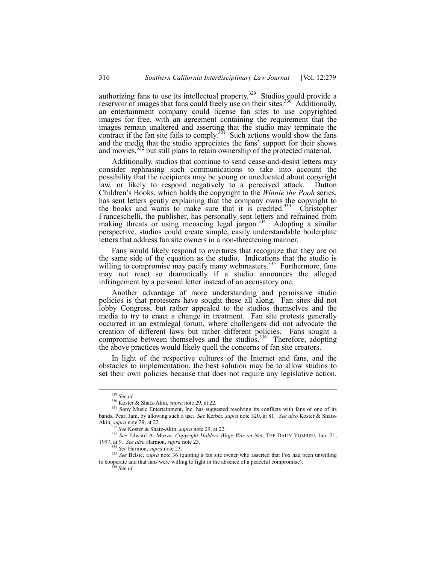authorizing fans to use its intellectual property.<sup>329</sup> Studios could provide a reservoir of images that fans could freely use on their sites.<sup>330</sup> Additionally, an entertainment company could license fan sites to use copyrighted images for free, with an agreement containing the requirement that the images remain unaltered and asserting that the studio may terminate the contract if the fan site fails to comply.<sup>331</sup> Such actions would show the fans and the media that the studio appreciates the fans' support for their shows and movies,<sup>332</sup> but still plans to retain ownership of the protected material.

Additionally, studios that continue to send cease-and-desist letters may consider rephrasing such communications to take into account the possibility that the recipients may be young or uneducated about copyright law, or likely to respond negatively to a perceived attack. Dutton Childrenís Books, which holds the copyright to the *Winnie the Pooh* series, has sent letters gently explaining that the company owns the copyright to the books and wants to make sure that it is credited.<sup>333</sup> Christopher Franceschelli, the publisher, has personally sent letters and refrained from making threats or using menacing legal jargon.<sup>334</sup> Adopting a similar perspective, studios could create simple, easily understandable boilerplate letters that address fan site owners in a non-threatening manner.

Fans would likely respond to overtures that recognize that they are on the same side of the equation as the studio. Indications that the studio is willing to compromise may pacify many webmasters.<sup>335</sup> Furthermore, fans may not react so dramatically if a studio announces the alleged infringement by a personal letter instead of an accusatory one.

Another advantage of more understanding and permissive studio policies is that protesters have sought these all along. Fan sites did not lobby Congress, but rather appealed to the studios themselves and the media to try to enact a change in treatment. Fan site protests generally occurred in an extralegal forum, where challengers did not advocate the creation of different laws but rather different policies. Fans sought a compromise between themselves and the studios.<sup>336</sup> Therefore, adopting the above practices would likely quell the concerns of fan site creators.

In light of the respective cultures of the Internet and fans, and the obstacles to implementation, the best solution may be to allow studios to set their own policies because that does not require any legislative action.

 <sup>329</sup> *See id.*

<sup>330</sup> Koster & Shatz-Akin, *supra* note 29, at 22.

<sup>&</sup>lt;sup>331</sup> Sony Music Entertainment, Inc. has suggested resolving its conflicts with fans of one of its bands, Pearl Jam, by allowing such a use. *See* Kerber, *supra* note 320, at 81. *See also* Koster & Shatz-Akin, *supra* note 29, at 22.

<sup>332</sup> *See* Koster & Shatz-Akin, *supra* note 29, at 22.

<sup>333</sup> *See* Edward A. Mazza, *Copyright Holders Wage War on Net*, THE DAILY YOMIURI, Jan. 21, 1997, at 9. *See also* Harmon, *supra* note 23.

<sup>334</sup> *See* Harmon, *supra* note 23.

<sup>335</sup> *See* Belsie, *supra* note 36 (quoting a fan site owner who asserted that Fox had been unwilling to cooperate and that fans were willing to fight in the absence of a peaceful compromise).